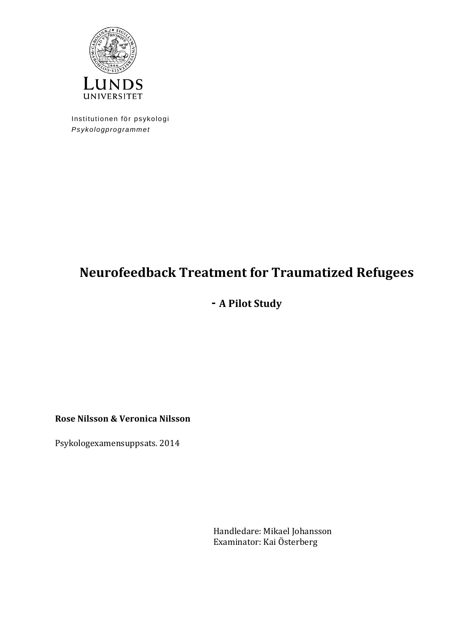

Institutionen för psykologi *Psykologprogrammet*

# **Neurofeedback Treatment for Traumatized Refugees**

# **- A Pilot Study**

**Rose Nilsson & Veronica Nilsson**

Psykologexamensuppsats. 2014

Handledare: Mikael Johansson Examinator: Kai Österberg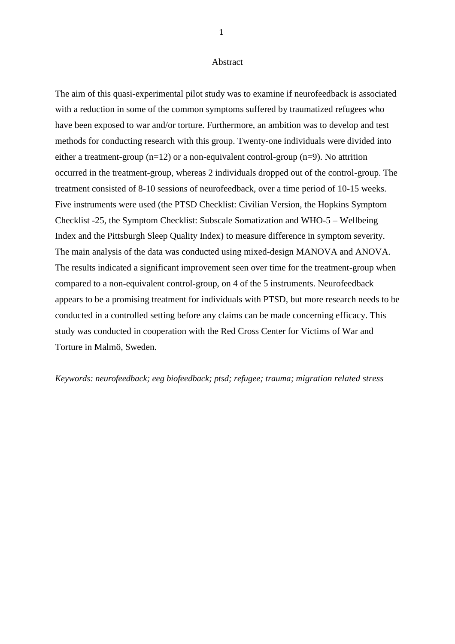#### Abstract

The aim of this quasi-experimental pilot study was to examine if neurofeedback is associated with a reduction in some of the common symptoms suffered by traumatized refugees who have been exposed to war and/or torture. Furthermore, an ambition was to develop and test methods for conducting research with this group. Twenty-one individuals were divided into either a treatment-group (n=12) or a non-equivalent control-group (n=9). No attrition occurred in the treatment-group, whereas 2 individuals dropped out of the control-group. The treatment consisted of 8-10 sessions of neurofeedback, over a time period of 10-15 weeks. Five instruments were used (the PTSD Checklist: Civilian Version, the Hopkins Symptom Checklist -25, the Symptom Checklist: Subscale Somatization and WHO-5 – Wellbeing Index and the Pittsburgh Sleep Quality Index) to measure difference in symptom severity. The main analysis of the data was conducted using mixed-design MANOVA and ANOVA. The results indicated a significant improvement seen over time for the treatment-group when compared to a non-equivalent control-group, on 4 of the 5 instruments. Neurofeedback appears to be a promising treatment for individuals with PTSD, but more research needs to be conducted in a controlled setting before any claims can be made concerning efficacy. This study was conducted in cooperation with the Red Cross Center for Victims of War and Torture in Malmö, Sweden.

*Keywords: neurofeedback; eeg biofeedback; ptsd; refugee; trauma; migration related stress*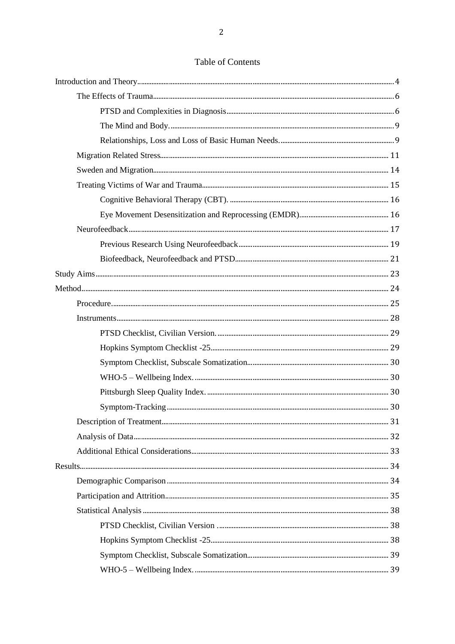### Table of Contents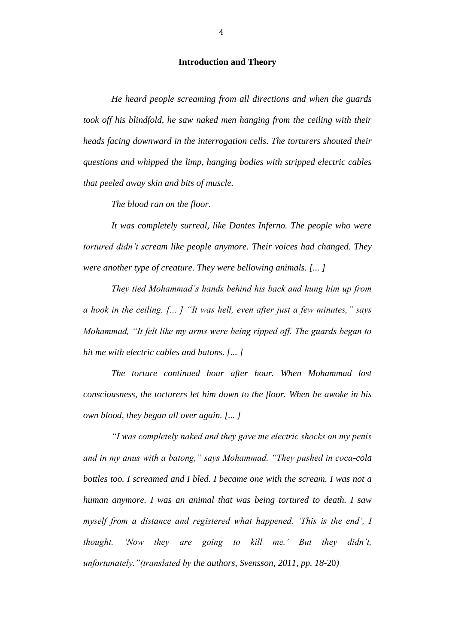#### **Introduction and Theory**

*He heard people screaming from all directions and when the guards took off his blindfold, he saw naked men hanging from the ceiling with their heads facing downward in the interrogation cells. The torturers shouted their questions and whipped the limp, hanging bodies with stripped electric cables that peeled away skin and bits of muscle.*

*The blood ran on the floor.*

*It was completely surreal, like Dantes Inferno. The people who were tortured didn't scream like people anymore. Their voices had changed. They were another type of creature. They were bellowing animals. [... ]*

*They tied Mohammad's hands behind his back and hung him up from a hook in the ceiling. [... ] "It was hell, even after just a few minutes," says Mohammad, "It felt like my arms were being ripped off. The guards began to hit me with electric cables and batons. [... ]*

*The torture continued hour after hour. When Mohammad lost consciousness, the torturers let him down to the floor. When he awoke in his own blood, they began all over again. [... ]*

*"I was completely naked and they gave me electric shocks on my penis and in my anus with a batong," says Mohammad. "They pushed in coca-cola bottles too. I screamed and I bled. I became one with the scream. I was not a human anymore. I was an animal that was being tortured to death. I saw myself from a distance and registered what happened. 'This is the end', I thought. 'Now they are going to kill me.' But they didn't, unfortunately."(translated by the authors, Svensson, 2011, pp. 18*-20*)*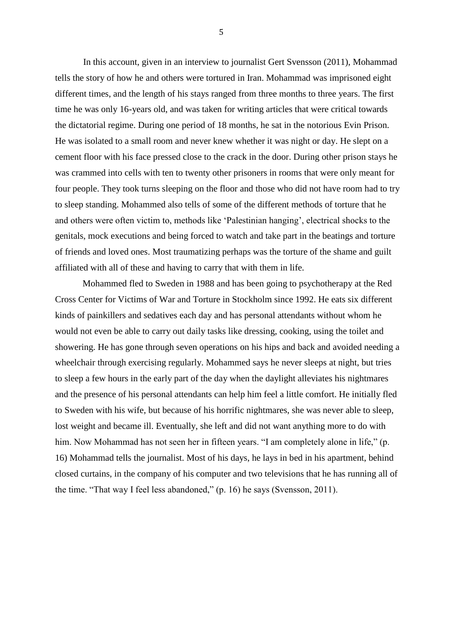In this account, given in an interview to journalist Gert Svensson (2011), Mohammad tells the story of how he and others were tortured in Iran. Mohammad was imprisoned eight different times, and the length of his stays ranged from three months to three years. The first time he was only 16-years old, and was taken for writing articles that were critical towards the dictatorial regime. During one period of 18 months, he sat in the notorious Evin Prison. He was isolated to a small room and never knew whether it was night or day. He slept on a cement floor with his face pressed close to the crack in the door. During other prison stays he was crammed into cells with ten to twenty other prisoners in rooms that were only meant for four people. They took turns sleeping on the floor and those who did not have room had to try to sleep standing. Mohammed also tells of some of the different methods of torture that he and others were often victim to, methods like 'Palestinian hanging', electrical shocks to the genitals, mock executions and being forced to watch and take part in the beatings and torture of friends and loved ones. Most traumatizing perhaps was the torture of the shame and guilt affiliated with all of these and having to carry that with them in life.

Mohammed fled to Sweden in 1988 and has been going to psychotherapy at the Red Cross Center for Victims of War and Torture in Stockholm since 1992. He eats six different kinds of painkillers and sedatives each day and has personal attendants without whom he would not even be able to carry out daily tasks like dressing, cooking, using the toilet and showering. He has gone through seven operations on his hips and back and avoided needing a wheelchair through exercising regularly. Mohammed says he never sleeps at night, but tries to sleep a few hours in the early part of the day when the daylight alleviates his nightmares and the presence of his personal attendants can help him feel a little comfort. He initially fled to Sweden with his wife, but because of his horrific nightmares, she was never able to sleep, lost weight and became ill. Eventually, she left and did not want anything more to do with him. Now Mohammad has not seen her in fifteen years. "I am completely alone in life," (p. 16) Mohammad tells the journalist. Most of his days, he lays in bed in his apartment, behind closed curtains, in the company of his computer and two televisions that he has running all of the time. "That way I feel less abandoned," (p. 16) he says (Svensson, 2011).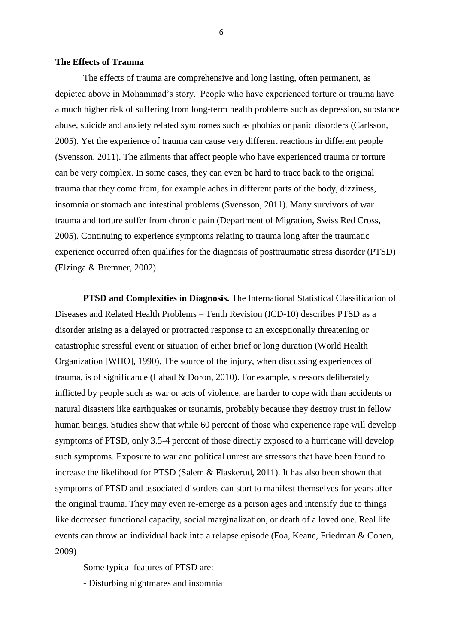#### **The Effects of Trauma**

The effects of trauma are comprehensive and long lasting, often permanent, as depicted above in Mohammad's story. People who have experienced torture or trauma have a much higher risk of suffering from long-term health problems such as depression, substance abuse, suicide and anxiety related syndromes such as phobias or panic disorders (Carlsson, 2005). Yet the experience of trauma can cause very different reactions in different people (Svensson, 2011). The ailments that affect people who have experienced trauma or torture can be very complex. In some cases, they can even be hard to trace back to the original trauma that they come from, for example aches in different parts of the body, dizziness, insomnia or stomach and intestinal problems (Svensson, 2011). Many survivors of war trauma and torture suffer from chronic pain (Department of Migration, Swiss Red Cross, 2005). Continuing to experience symptoms relating to trauma long after the traumatic experience occurred often qualifies for the diagnosis of posttraumatic stress disorder (PTSD) (Elzinga & Bremner, 2002).

**PTSD and Complexities in Diagnosis.** The International Statistical Classification of Diseases and Related Health Problems – Tenth Revision (ICD-10) describes PTSD as a disorder arising as a delayed or protracted response to an exceptionally threatening or catastrophic stressful event or situation of either brief or long duration (World Health Organization [WHO], 1990). The source of the injury, when discussing experiences of trauma, is of significance (Lahad & Doron, 2010). For example, stressors deliberately inflicted by people such as war or acts of violence, are harder to cope with than accidents or natural disasters like earthquakes or tsunamis, probably because they destroy trust in fellow human beings. Studies show that while 60 percent of those who experience rape will develop symptoms of PTSD, only 3.5-4 percent of those directly exposed to a hurricane will develop such symptoms. Exposure to war and political unrest are stressors that have been found to increase the likelihood for PTSD (Salem & Flaskerud, 2011). It has also been shown that symptoms of PTSD and associated disorders can start to manifest themselves for years after the original trauma. They may even re-emerge as a person ages and intensify due to things like decreased functional capacity, social marginalization, or death of a loved one. Real life events can throw an individual back into a relapse episode (Foa, Keane, Friedman & Cohen, 2009)

Some typical features of PTSD are:

- Disturbing nightmares and insomnia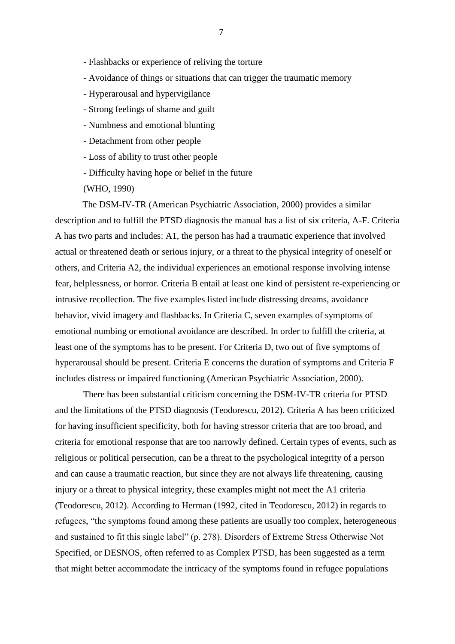- Flashbacks or experience of reliving the torture
- Avoidance of things or situations that can trigger the traumatic memory
- Hyperarousal and hypervigilance
- Strong feelings of shame and guilt
- Numbness and emotional blunting
- Detachment from other people
- Loss of ability to trust other people
- Difficulty having hope or belief in the future
- (WHO, 1990)

The DSM-IV-TR (American Psychiatric Association, 2000) provides a similar description and to fulfill the PTSD diagnosis the manual has a list of six criteria, A-F. Criteria A has two parts and includes: A1, the person has had a traumatic experience that involved actual or threatened death or serious injury, or a threat to the physical integrity of oneself or others, and Criteria A2, the individual experiences an emotional response involving intense fear, helplessness, or horror. Criteria B entail at least one kind of persistent re-experiencing or intrusive recollection. The five examples listed include distressing dreams, avoidance behavior, vivid imagery and flashbacks. In Criteria C, seven examples of symptoms of emotional numbing or emotional avoidance are described. In order to fulfill the criteria, at least one of the symptoms has to be present. For Criteria D, two out of five symptoms of hyperarousal should be present. Criteria E concerns the duration of symptoms and Criteria F includes distress or impaired functioning (American Psychiatric Association, 2000).

There has been substantial criticism concerning the DSM-IV-TR criteria for PTSD and the limitations of the PTSD diagnosis (Teodorescu, 2012). Criteria A has been criticized for having insufficient specificity, both for having stressor criteria that are too broad, and criteria for emotional response that are too narrowly defined. Certain types of events, such as religious or political persecution, can be a threat to the psychological integrity of a person and can cause a traumatic reaction, but since they are not always life threatening, causing injury or a threat to physical integrity, these examples might not meet the A1 criteria (Teodorescu, 2012). According to Herman (1992, cited in Teodorescu, 2012) in regards to refugees, "the symptoms found among these patients are usually too complex, heterogeneous and sustained to fit this single label" (p. 278). Disorders of Extreme Stress Otherwise Not Specified, or DESNOS, often referred to as Complex PTSD, has been suggested as a term that might better accommodate the intricacy of the symptoms found in refugee populations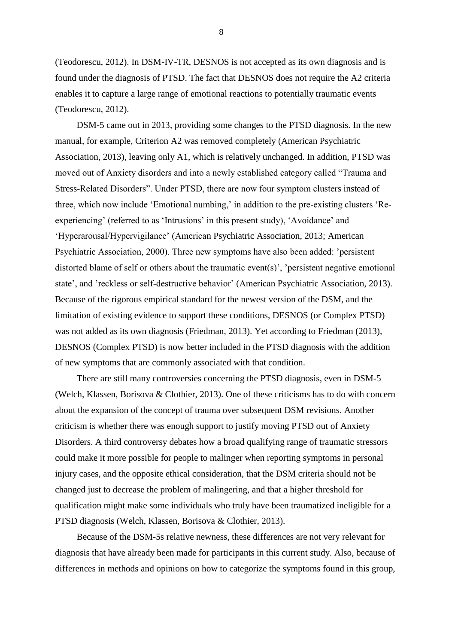(Teodorescu, 2012). In DSM-IV-TR, DESNOS is not accepted as its own diagnosis and is found under the diagnosis of PTSD. The fact that DESNOS does not require the A2 criteria enables it to capture a large range of emotional reactions to potentially traumatic events (Teodorescu, 2012).

DSM-5 came out in 2013, providing some changes to the PTSD diagnosis. In the new manual, for example, Criterion A2 was removed completely (American Psychiatric Association, 2013), leaving only A1, which is relatively unchanged. In addition, PTSD was moved out of Anxiety disorders and into a newly established category called "Trauma and Stress-Related Disorders". Under PTSD, there are now four symptom clusters instead of three, which now include 'Emotional numbing,' in addition to the pre-existing clusters 'Reexperiencing' (referred to as 'Intrusions' in this present study), 'Avoidance' and 'Hyperarousal/Hypervigilance' (American Psychiatric Association, 2013; American Psychiatric Association, 2000). Three new symptoms have also been added: 'persistent distorted blame of self or others about the traumatic event(s)', 'persistent negative emotional state', and 'reckless or self-destructive behavior' (American Psychiatric Association, 2013). Because of the rigorous empirical standard for the newest version of the DSM, and the limitation of existing evidence to support these conditions, DESNOS (or Complex PTSD) was not added as its own diagnosis (Friedman, 2013). Yet according to Friedman (2013), DESNOS (Complex PTSD) is now better included in the PTSD diagnosis with the addition of new symptoms that are commonly associated with that condition.

There are still many controversies concerning the PTSD diagnosis, even in DSM-5 (Welch, Klassen, Borisova & Clothier, 2013). One of these criticisms has to do with concern about the expansion of the concept of trauma over subsequent DSM revisions. Another criticism is whether there was enough support to justify moving PTSD out of Anxiety Disorders. A third controversy debates how a broad qualifying range of traumatic stressors could make it more possible for people to malinger when reporting symptoms in personal injury cases, and the opposite ethical consideration, that the DSM criteria should not be changed just to decrease the problem of malingering, and that a higher threshold for qualification might make some individuals who truly have been traumatized ineligible for a PTSD diagnosis (Welch, Klassen, Borisova & Clothier, 2013).

Because of the DSM-5s relative newness, these differences are not very relevant for diagnosis that have already been made for participants in this current study. Also, because of differences in methods and opinions on how to categorize the symptoms found in this group,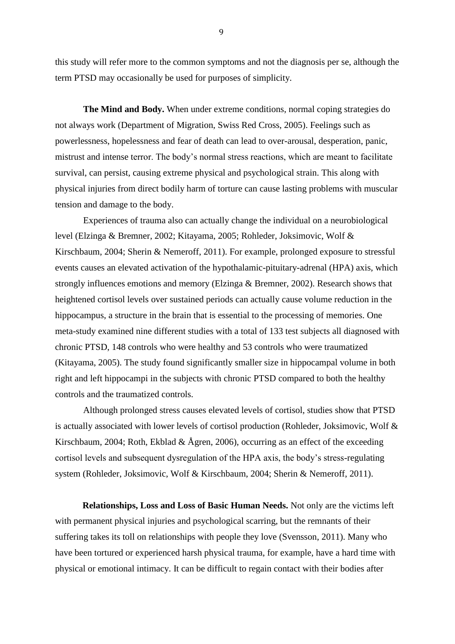this study will refer more to the common symptoms and not the diagnosis per se, although the term PTSD may occasionally be used for purposes of simplicity.

**The Mind and Body.** When under extreme conditions, normal coping strategies do not always work (Department of Migration, Swiss Red Cross, 2005). Feelings such as powerlessness, hopelessness and fear of death can lead to over-arousal, desperation, panic, mistrust and intense terror. The body's normal stress reactions, which are meant to facilitate survival, can persist, causing extreme physical and psychological strain. This along with physical injuries from direct bodily harm of torture can cause lasting problems with muscular tension and damage to the body.

Experiences of trauma also can actually change the individual on a neurobiological level (Elzinga & Bremner, 2002; Kitayama, 2005; Rohleder, Joksimovic, Wolf & Kirschbaum, 2004; Sherin & Nemeroff, 2011). For example, prolonged exposure to stressful events causes an elevated activation of the hypothalamic-pituitary-adrenal (HPA) axis, which strongly influences emotions and memory (Elzinga & Bremner, 2002). Research shows that heightened cortisol levels over sustained periods can actually cause volume reduction in the hippocampus, a structure in the brain that is essential to the processing of memories. One meta-study examined nine different studies with a total of 133 test subjects all diagnosed with chronic PTSD, 148 controls who were healthy and 53 controls who were traumatized (Kitayama, 2005). The study found significantly smaller size in hippocampal volume in both right and left hippocampi in the subjects with chronic PTSD compared to both the healthy controls and the traumatized controls.

Although prolonged stress causes elevated levels of cortisol, studies show that PTSD is actually associated with lower levels of cortisol production (Rohleder, Joksimovic, Wolf & Kirschbaum, 2004; Roth, Ekblad & Ågren, 2006), occurring as an effect of the exceeding cortisol levels and subsequent dysregulation of the HPA axis, the body's stress-regulating system (Rohleder, Joksimovic, Wolf & Kirschbaum, 2004; Sherin & Nemeroff, 2011).

**Relationships, Loss and Loss of Basic Human Needs.** Not only are the victims left with permanent physical injuries and psychological scarring, but the remnants of their suffering takes its toll on relationships with people they love (Svensson, 2011). Many who have been tortured or experienced harsh physical trauma, for example, have a hard time with physical or emotional intimacy. It can be difficult to regain contact with their bodies after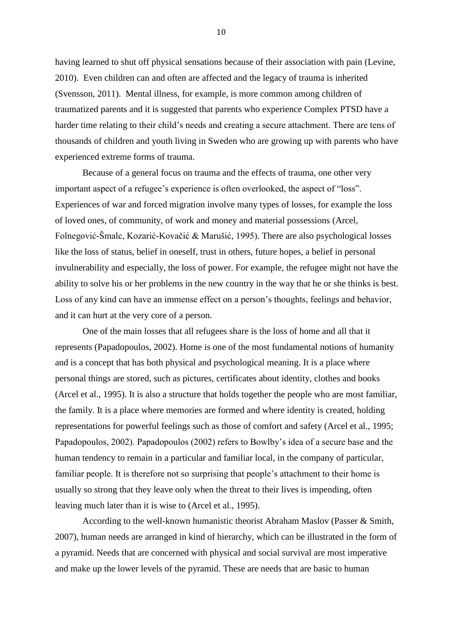having learned to shut off physical sensations because of their association with pain (Levine, 2010). Even children can and often are affected and the legacy of trauma is inherited (Svensson, 2011). Mental illness, for example, is more common among children of traumatized parents and it is suggested that parents who experience Complex PTSD have a harder time relating to their child's needs and creating a secure attachment. There are tens of thousands of children and youth living in Sweden who are growing up with parents who have experienced extreme forms of trauma.

Because of a general focus on trauma and the effects of trauma, one other very important aspect of a refugee's experience is often overlooked, the aspect of "loss". Experiences of war and forced migration involve many types of losses, for example the loss of loved ones, of community, of work and money and material possessions (Arcel, Folnegović-Šmalc, Kozarić-Kovačić & Marušić, 1995). There are also psychological losses like the loss of status, belief in oneself, trust in others, future hopes, a belief in personal invulnerability and especially, the loss of power. For example, the refugee might not have the ability to solve his or her problems in the new country in the way that he or she thinks is best. Loss of any kind can have an immense effect on a person's thoughts, feelings and behavior, and it can hurt at the very core of a person.

One of the main losses that all refugees share is the loss of home and all that it represents (Papadopoulos, 2002). Home is one of the most fundamental notions of humanity and is a concept that has both physical and psychological meaning. It is a place where personal things are stored, such as pictures, certificates about identity, clothes and books (Arcel et al., 1995). It is also a structure that holds together the people who are most familiar, the family. It is a place where memories are formed and where identity is created, holding representations for powerful feelings such as those of comfort and safety (Arcel et al., 1995; Papadopoulos, 2002). Papadopoulos (2002) refers to Bowlby's idea of a secure base and the human tendency to remain in a particular and familiar local, in the company of particular, familiar people. It is therefore not so surprising that people's attachment to their home is usually so strong that they leave only when the threat to their lives is impending, often leaving much later than it is wise to (Arcel et al., 1995).

According to the well-known humanistic theorist Abraham Maslov (Passer & Smith, 2007), human needs are arranged in kind of hierarchy, which can be illustrated in the form of a pyramid. Needs that are concerned with physical and social survival are most imperative and make up the lower levels of the pyramid. These are needs that are basic to human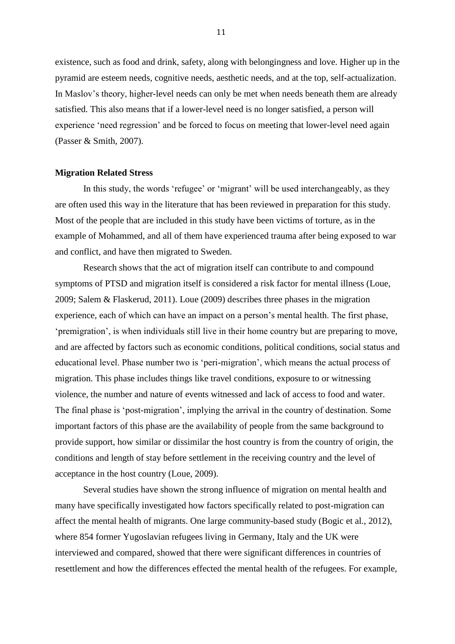existence, such as food and drink, safety, along with belongingness and love. Higher up in the pyramid are esteem needs, cognitive needs, aesthetic needs, and at the top, self-actualization. In Maslov's theory, higher-level needs can only be met when needs beneath them are already satisfied. This also means that if a lower-level need is no longer satisfied, a person will experience 'need regression' and be forced to focus on meeting that lower-level need again (Passer & Smith, 2007).

#### **Migration Related Stress**

In this study, the words 'refugee' or 'migrant' will be used interchangeably, as they are often used this way in the literature that has been reviewed in preparation for this study. Most of the people that are included in this study have been victims of torture, as in the example of Mohammed, and all of them have experienced trauma after being exposed to war and conflict, and have then migrated to Sweden.

Research shows that the act of migration itself can contribute to and compound symptoms of PTSD and migration itself is considered a risk factor for mental illness (Loue, 2009; Salem & Flaskerud, 2011). Loue (2009) describes three phases in the migration experience, each of which can have an impact on a person's mental health. The first phase, 'premigration', is when individuals still live in their home country but are preparing to move, and are affected by factors such as economic conditions, political conditions, social status and educational level. Phase number two is 'peri-migration', which means the actual process of migration. This phase includes things like travel conditions, exposure to or witnessing violence, the number and nature of events witnessed and lack of access to food and water. The final phase is 'post-migration', implying the arrival in the country of destination. Some important factors of this phase are the availability of people from the same background to provide support, how similar or dissimilar the host country is from the country of origin, the conditions and length of stay before settlement in the receiving country and the level of acceptance in the host country (Loue, 2009).

Several studies have shown the strong influence of migration on mental health and many have specifically investigated how factors specifically related to post-migration can affect the mental health of migrants. One large community-based study (Bogic et al., 2012), where 854 former Yugoslavian refugees living in Germany, Italy and the UK were interviewed and compared, showed that there were significant differences in countries of resettlement and how the differences effected the mental health of the refugees. For example,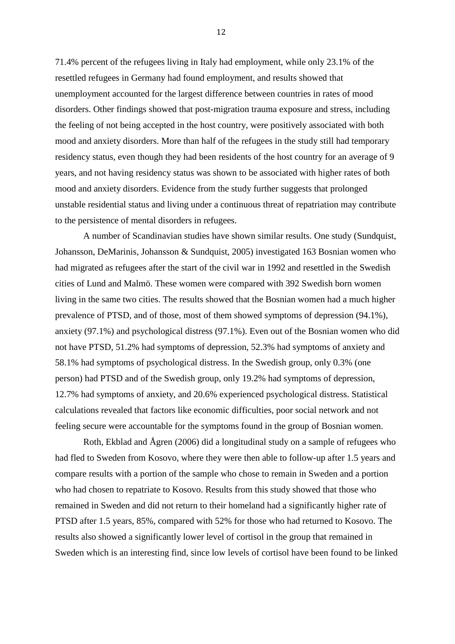71.4% percent of the refugees living in Italy had employment, while only 23.1% of the resettled refugees in Germany had found employment, and results showed that unemployment accounted for the largest difference between countries in rates of mood disorders. Other findings showed that post-migration trauma exposure and stress, including the feeling of not being accepted in the host country, were positively associated with both mood and anxiety disorders. More than half of the refugees in the study still had temporary residency status, even though they had been residents of the host country for an average of 9 years, and not having residency status was shown to be associated with higher rates of both mood and anxiety disorders. Evidence from the study further suggests that prolonged unstable residential status and living under a continuous threat of repatriation may contribute to the persistence of mental disorders in refugees.

A number of Scandinavian studies have shown similar results. One study (Sundquist, Johansson, DeMarinis, Johansson & Sundquist, 2005) investigated 163 Bosnian women who had migrated as refugees after the start of the civil war in 1992 and resettled in the Swedish cities of Lund and Malmö. These women were compared with 392 Swedish born women living in the same two cities. The results showed that the Bosnian women had a much higher prevalence of PTSD, and of those, most of them showed symptoms of depression (94.1%), anxiety (97.1%) and psychological distress (97.1%). Even out of the Bosnian women who did not have PTSD, 51.2% had symptoms of depression, 52.3% had symptoms of anxiety and 58.1% had symptoms of psychological distress. In the Swedish group, only 0.3% (one person) had PTSD and of the Swedish group, only 19.2% had symptoms of depression, 12.7% had symptoms of anxiety, and 20.6% experienced psychological distress. Statistical calculations revealed that factors like economic difficulties, poor social network and not feeling secure were accountable for the symptoms found in the group of Bosnian women.

Roth, Ekblad and Ågren (2006) did a longitudinal study on a sample of refugees who had fled to Sweden from Kosovo, where they were then able to follow-up after 1.5 years and compare results with a portion of the sample who chose to remain in Sweden and a portion who had chosen to repatriate to Kosovo. Results from this study showed that those who remained in Sweden and did not return to their homeland had a significantly higher rate of PTSD after 1.5 years, 85%, compared with 52% for those who had returned to Kosovo. The results also showed a significantly lower level of cortisol in the group that remained in Sweden which is an interesting find, since low levels of cortisol have been found to be linked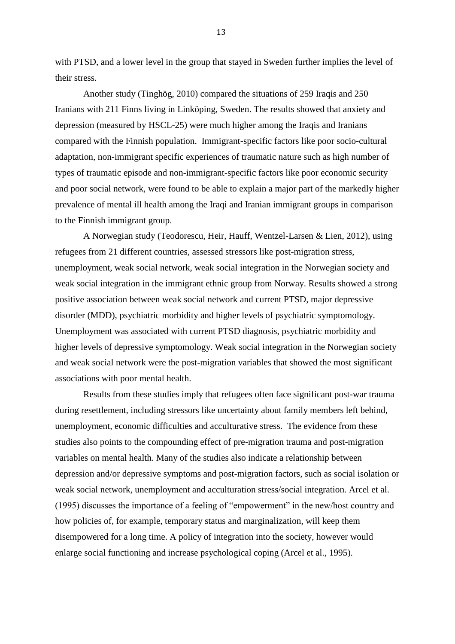with PTSD, and a lower level in the group that stayed in Sweden further implies the level of their stress.

Another study (Tinghög, 2010) compared the situations of 259 Iraqis and 250 Iranians with 211 Finns living in Linköping, Sweden. The results showed that anxiety and depression (measured by HSCL-25) were much higher among the Iraqis and Iranians compared with the Finnish population. Immigrant-specific factors like poor socio-cultural adaptation, non-immigrant specific experiences of traumatic nature such as high number of types of traumatic episode and non-immigrant-specific factors like poor economic security and poor social network, were found to be able to explain a major part of the markedly higher prevalence of mental ill health among the Iraqi and Iranian immigrant groups in comparison to the Finnish immigrant group.

A Norwegian study (Teodorescu, Heir, Hauff, Wentzel-Larsen & Lien, 2012), using refugees from 21 different countries, assessed stressors like post-migration stress, unemployment, weak social network, weak social integration in the Norwegian society and weak social integration in the immigrant ethnic group from Norway. Results showed a strong positive association between weak social network and current PTSD, major depressive disorder (MDD), psychiatric morbidity and higher levels of psychiatric symptomology. Unemployment was associated with current PTSD diagnosis, psychiatric morbidity and higher levels of depressive symptomology. Weak social integration in the Norwegian society and weak social network were the post-migration variables that showed the most significant associations with poor mental health.

Results from these studies imply that refugees often face significant post-war trauma during resettlement, including stressors like uncertainty about family members left behind, unemployment, economic difficulties and acculturative stress. The evidence from these studies also points to the compounding effect of pre-migration trauma and post-migration variables on mental health. Many of the studies also indicate a relationship between depression and/or depressive symptoms and post-migration factors, such as social isolation or weak social network, unemployment and acculturation stress/social integration. Arcel et al. (1995) discusses the importance of a feeling of "empowerment" in the new/host country and how policies of, for example, temporary status and marginalization, will keep them disempowered for a long time. A policy of integration into the society, however would enlarge social functioning and increase psychological coping (Arcel et al., 1995).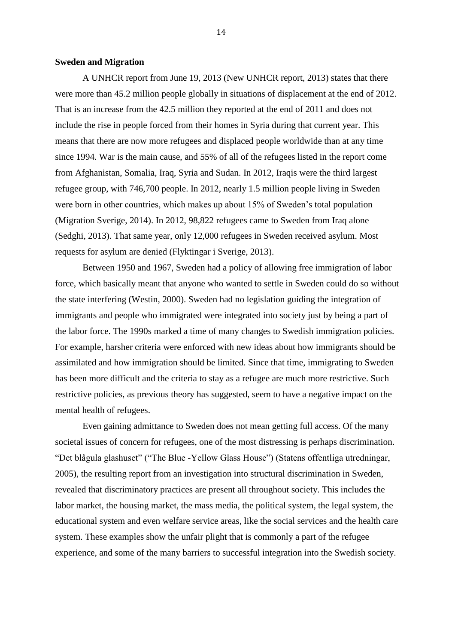#### **Sweden and Migration**

A UNHCR report from June 19, 2013 (New UNHCR report, 2013) states that there were more than 45.2 million people globally in situations of displacement at the end of 2012. That is an increase from the 42.5 million they reported at the end of 2011 and does not include the rise in people forced from their homes in Syria during that current year. This means that there are now more refugees and displaced people worldwide than at any time since 1994. War is the main cause, and 55% of all of the refugees listed in the report come from Afghanistan, Somalia, Iraq, Syria and Sudan. In 2012, Iraqis were the third largest refugee group, with 746,700 people. In 2012, nearly 1.5 million people living in Sweden were born in other countries, which makes up about 15% of Sweden's total population (Migration Sverige, 2014). In 2012, 98,822 refugees came to Sweden from Iraq alone (Sedghi, 2013). That same year, only 12,000 refugees in Sweden received asylum. Most requests for asylum are denied (Flyktingar i Sverige, 2013).

Between 1950 and 1967, Sweden had a policy of allowing free immigration of labor force, which basically meant that anyone who wanted to settle in Sweden could do so without the state interfering (Westin, 2000). Sweden had no legislation guiding the integration of immigrants and people who immigrated were integrated into society just by being a part of the labor force. The 1990s marked a time of many changes to Swedish immigration policies. For example, harsher criteria were enforced with new ideas about how immigrants should be assimilated and how immigration should be limited. Since that time, immigrating to Sweden has been more difficult and the criteria to stay as a refugee are much more restrictive. Such restrictive policies, as previous theory has suggested, seem to have a negative impact on the mental health of refugees.

Even gaining admittance to Sweden does not mean getting full access. Of the many societal issues of concern for refugees, one of the most distressing is perhaps discrimination. "Det blågula glashuset" ("The Blue -Yellow Glass House") (Statens offentliga utredningar, 2005), the resulting report from an investigation into structural discrimination in Sweden, revealed that discriminatory practices are present all throughout society. This includes the labor market, the housing market, the mass media, the political system, the legal system, the educational system and even welfare service areas, like the social services and the health care system. These examples show the unfair plight that is commonly a part of the refugee experience, and some of the many barriers to successful integration into the Swedish society.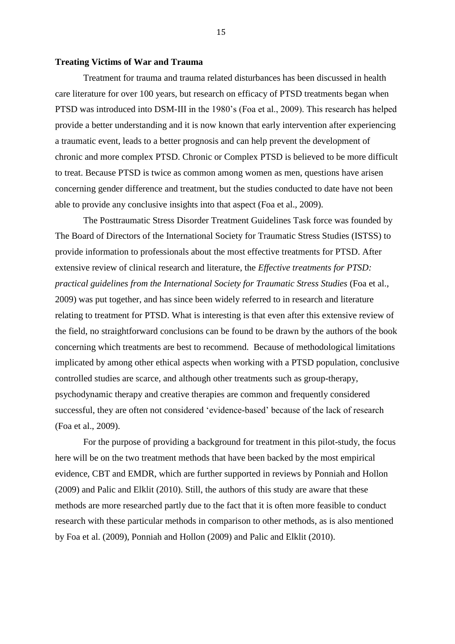#### **Treating Victims of War and Trauma**

Treatment for trauma and trauma related disturbances has been discussed in health care literature for over 100 years, but research on efficacy of PTSD treatments began when PTSD was introduced into DSM-III in the 1980's (Foa et al., 2009). This research has helped provide a better understanding and it is now known that early intervention after experiencing a traumatic event, leads to a better prognosis and can help prevent the development of chronic and more complex PTSD. Chronic or Complex PTSD is believed to be more difficult to treat. Because PTSD is twice as common among women as men, questions have arisen concerning gender difference and treatment, but the studies conducted to date have not been able to provide any conclusive insights into that aspect (Foa et al., 2009).

The Posttraumatic Stress Disorder Treatment Guidelines Task force was founded by The Board of Directors of the International Society for Traumatic Stress Studies (ISTSS) to provide information to professionals about the most effective treatments for PTSD. After extensive review of clinical research and literature, the *Effective treatments for PTSD: practical guidelines from the International Society for Traumatic Stress Studies* (Foa et al., 2009) was put together, and has since been widely referred to in research and literature relating to treatment for PTSD. What is interesting is that even after this extensive review of the field, no straightforward conclusions can be found to be drawn by the authors of the book concerning which treatments are best to recommend. Because of methodological limitations implicated by among other ethical aspects when working with a PTSD population, conclusive controlled studies are scarce, and although other treatments such as group-therapy, psychodynamic therapy and creative therapies are common and frequently considered successful, they are often not considered 'evidence-based' because of the lack of research (Foa et al., 2009).

For the purpose of providing a background for treatment in this pilot-study, the focus here will be on the two treatment methods that have been backed by the most empirical evidence, CBT and EMDR, which are further supported in reviews by Ponniah and Hollon (2009) and Palic and Elklit (2010). Still, the authors of this study are aware that these methods are more researched partly due to the fact that it is often more feasible to conduct research with these particular methods in comparison to other methods, as is also mentioned by Foa et al. (2009), Ponniah and Hollon (2009) and Palic and Elklit (2010).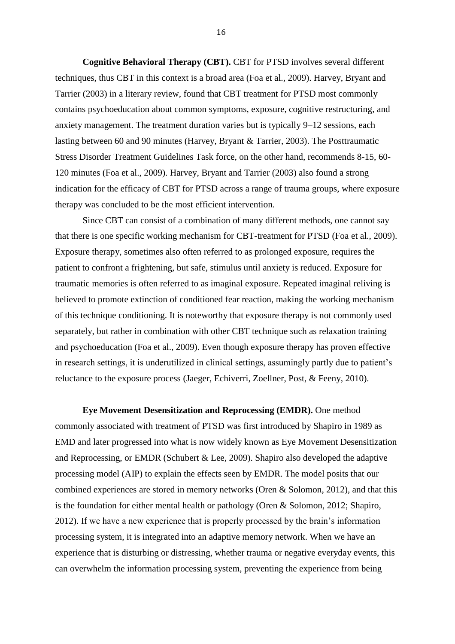**Cognitive Behavioral Therapy (CBT).** CBT for PTSD involves several different techniques, thus CBT in this context is a broad area (Foa et al., 2009). Harvey, Bryant and Tarrier (2003) in a literary review, found that CBT treatment for PTSD most commonly contains psychoeducation about common symptoms, exposure, cognitive restructuring, and anxiety management. The treatment duration varies but is typically 9–12 sessions, each lasting between 60 and 90 minutes (Harvey, Bryant & Tarrier, 2003). The Posttraumatic Stress Disorder Treatment Guidelines Task force, on the other hand, recommends 8-15, 60- 120 minutes (Foa et al., 2009). Harvey, Bryant and Tarrier (2003) also found a strong indication for the efficacy of CBT for PTSD across a range of trauma groups, where exposure therapy was concluded to be the most efficient intervention.

Since CBT can consist of a combination of many different methods, one cannot say that there is one specific working mechanism for CBT-treatment for PTSD (Foa et al., 2009). Exposure therapy, sometimes also often referred to as prolonged exposure, requires the patient to confront a frightening, but safe, stimulus until anxiety is reduced. Exposure for traumatic memories is often referred to as imaginal exposure. Repeated imaginal reliving is believed to promote extinction of conditioned fear reaction, making the working mechanism of this technique conditioning. It is noteworthy that exposure therapy is not commonly used separately, but rather in combination with other CBT technique such as relaxation training and psychoeducation (Foa et al., 2009). Even though exposure therapy has proven effective in research settings, it is underutilized in clinical settings, assumingly partly due to patient's reluctance to the exposure process (Jaeger, Echiverri, Zoellner, Post, & Feeny, 2010).

**Eye Movement Desensitization and Reprocessing (EMDR).** One method commonly associated with treatment of PTSD was first introduced by Shapiro in 1989 as EMD and later progressed into what is now widely known as Eye Movement Desensitization and Reprocessing, or EMDR (Schubert & Lee, 2009). Shapiro also developed the adaptive processing model (AIP) to explain the effects seen by EMDR. The model posits that our combined experiences are stored in memory networks (Oren & Solomon, 2012), and that this is the foundation for either mental health or pathology (Oren & Solomon, 2012; Shapiro, 2012). If we have a new experience that is properly processed by the brain's information processing system, it is integrated into an adaptive memory network. When we have an experience that is disturbing or distressing, whether trauma or negative everyday events, this can overwhelm the information processing system, preventing the experience from being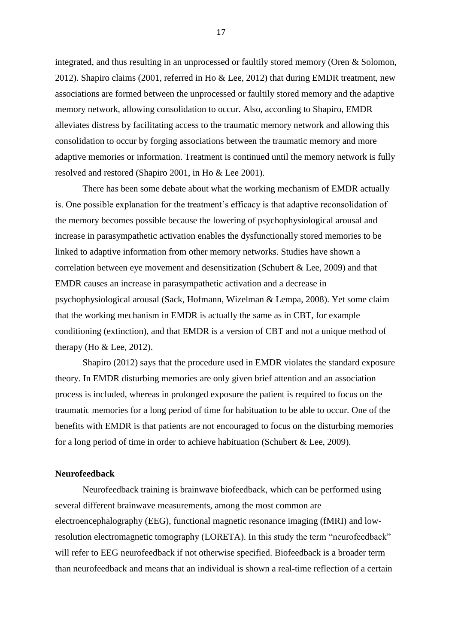integrated, and thus resulting in an unprocessed or faultily stored memory (Oren & Solomon, 2012). Shapiro claims (2001, referred in Ho & Lee, 2012) that during EMDR treatment, new associations are formed between the unprocessed or faultily stored memory and the adaptive memory network, allowing consolidation to occur. Also, according to Shapiro, EMDR alleviates distress by facilitating access to the traumatic memory network and allowing this consolidation to occur by forging associations between the traumatic memory and more adaptive memories or information. Treatment is continued until the memory network is fully resolved and restored (Shapiro 2001, in Ho & Lee 2001).

There has been some debate about what the working mechanism of EMDR actually is. One possible explanation for the treatment's efficacy is that adaptive reconsolidation of the memory becomes possible because the lowering of psychophysiological arousal and increase in parasympathetic activation enables the dysfunctionally stored memories to be linked to adaptive information from other memory networks. Studies have shown a correlation between eye movement and desensitization (Schubert & Lee, 2009) and that EMDR causes an increase in parasympathetic activation and a decrease in psychophysiological arousal (Sack, Hofmann, Wizelman & Lempa, 2008). Yet some claim that the working mechanism in EMDR is actually the same as in CBT, for example conditioning (extinction), and that EMDR is a version of CBT and not a unique method of therapy (Ho  $&$  Lee, 2012).

Shapiro (2012) says that the procedure used in EMDR violates the standard exposure theory. In EMDR disturbing memories are only given brief attention and an association process is included, whereas in prolonged exposure the patient is required to focus on the traumatic memories for a long period of time for habituation to be able to occur. One of the benefits with EMDR is that patients are not encouraged to focus on the disturbing memories for a long period of time in order to achieve habituation (Schubert & Lee, 2009).

### **Neurofeedback**

Neurofeedback training is brainwave biofeedback, which can be performed using several different brainwave measurements, among the most common are electroencephalography (EEG), functional magnetic resonance imaging (fMRI) and lowresolution electromagnetic tomography (LORETA). In this study the term "neurofeedback" will refer to EEG neurofeedback if not otherwise specified. Biofeedback is a broader term than neurofeedback and means that an individual is shown a real-time reflection of a certain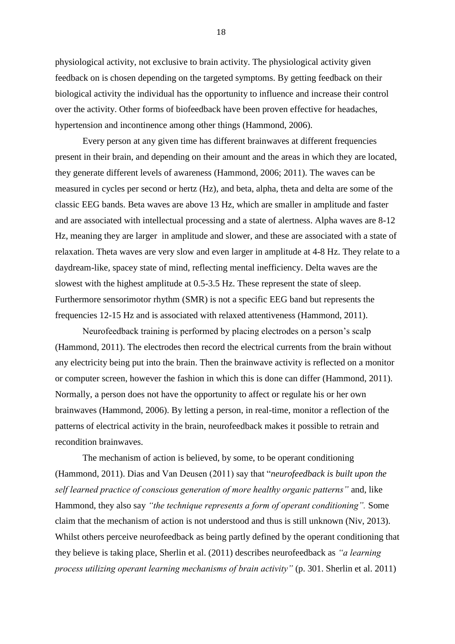physiological activity, not exclusive to brain activity. The physiological activity given feedback on is chosen depending on the targeted symptoms. By getting feedback on their biological activity the individual has the opportunity to influence and increase their control over the activity. Other forms of biofeedback have been proven effective for headaches, hypertension and incontinence among other things (Hammond, 2006).

Every person at any given time has different brainwaves at different frequencies present in their brain, and depending on their amount and the areas in which they are located, they generate different levels of awareness (Hammond, 2006; 2011). The waves can be measured in cycles per second or hertz (Hz), and beta, alpha, theta and delta are some of the classic EEG bands. Beta waves are above 13 Hz, which are smaller in amplitude and faster and are associated with intellectual processing and a state of alertness. Alpha waves are 8-12 Hz, meaning they are larger in amplitude and slower, and these are associated with a state of relaxation. Theta waves are very slow and even larger in amplitude at 4-8 Hz. They relate to a daydream-like, spacey state of mind, reflecting mental inefficiency. Delta waves are the slowest with the highest amplitude at 0.5-3.5 Hz. These represent the state of sleep. Furthermore sensorimotor rhythm (SMR) is not a specific EEG band but represents the frequencies 12-15 Hz and is associated with relaxed attentiveness (Hammond, 2011).

Neurofeedback training is performed by placing electrodes on a person's scalp (Hammond, 2011). The electrodes then record the electrical currents from the brain without any electricity being put into the brain. Then the brainwave activity is reflected on a monitor or computer screen, however the fashion in which this is done can differ (Hammond, 2011). Normally, a person does not have the opportunity to affect or regulate his or her own brainwaves (Hammond, 2006). By letting a person, in real-time, monitor a reflection of the patterns of electrical activity in the brain, neurofeedback makes it possible to retrain and recondition brainwaves.

The mechanism of action is believed, by some, to be operant conditioning (Hammond, 2011). Dias and Van Deusen (2011) say that "*neurofeedback is built upon the self learned practice of conscious generation of more healthy organic patterns"* and, like Hammond, they also say *"the technique represents a form of operant conditioning".* Some claim that the mechanism of action is not understood and thus is still unknown (Niv, 2013). Whilst others perceive neurofeedback as being partly defined by the operant conditioning that they believe is taking place, Sherlin et al. (2011) describes neurofeedback as *"a learning process utilizing operant learning mechanisms of brain activity"* (p. 301. Sherlin et al. 2011)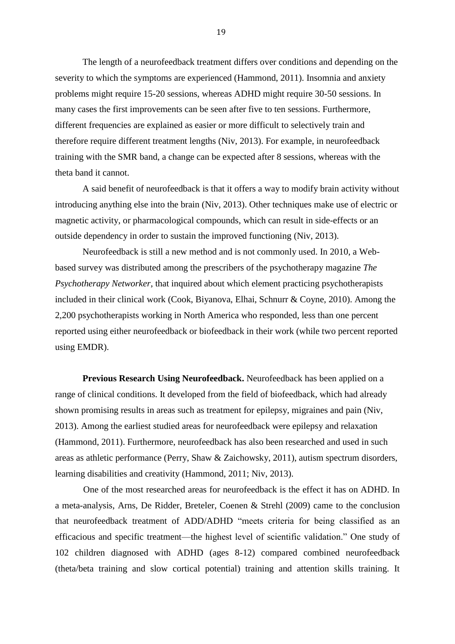The length of a neurofeedback treatment differs over conditions and depending on the severity to which the symptoms are experienced (Hammond, 2011). Insomnia and anxiety problems might require 15-20 sessions, whereas ADHD might require 30-50 sessions. In many cases the first improvements can be seen after five to ten sessions. Furthermore, different frequencies are explained as easier or more difficult to selectively train and therefore require different treatment lengths (Niv, 2013). For example, in neurofeedback training with the SMR band, a change can be expected after 8 sessions, whereas with the theta band it cannot.

A said benefit of neurofeedback is that it offers a way to modify brain activity without introducing anything else into the brain (Niv, 2013). Other techniques make use of electric or magnetic activity, or pharmacological compounds, which can result in side-effects or an outside dependency in order to sustain the improved functioning (Niv, 2013).

Neurofeedback is still a new method and is not commonly used. In 2010, a Webbased survey was distributed among the prescribers of the psychotherapy magazine *The Psychotherapy Networker*, that inquired about which element practicing psychotherapists included in their clinical work (Cook, Biyanova, Elhai, Schnurr & Coyne, 2010). Among the 2,200 psychotherapists working in North America who responded, less than one percent reported using either neurofeedback or biofeedback in their work (while two percent reported using EMDR).

**Previous Research Using Neurofeedback.** Neurofeedback has been applied on a range of clinical conditions. It developed from the field of biofeedback, which had already shown promising results in areas such as treatment for epilepsy, migraines and pain (Niv, 2013). Among the earliest studied areas for neurofeedback were epilepsy and relaxation (Hammond, 2011). Furthermore, neurofeedback has also been researched and used in such areas as athletic performance (Perry, Shaw & Zaichowsky, 2011), autism spectrum disorders, learning disabilities and creativity (Hammond, 2011; Niv, 2013).

One of the most researched areas for neurofeedback is the effect it has on ADHD. In a meta-analysis, Arns, De Ridder, Breteler, Coenen & Strehl (2009) came to the conclusion that neurofeedback treatment of ADD/ADHD "meets criteria for being classified as an efficacious and specific treatment—the highest level of scientific validation." One study of 102 children diagnosed with ADHD (ages 8-12) compared combined neurofeedback (theta/beta training and slow cortical potential) training and attention skills training. It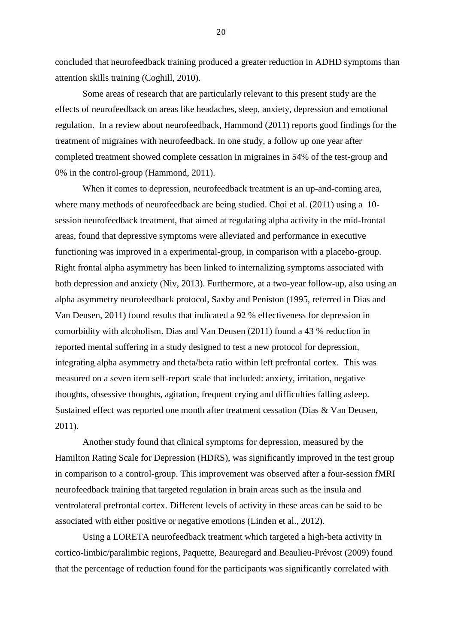concluded that neurofeedback training produced a greater reduction in ADHD symptoms than attention skills training (Coghill, 2010).

Some areas of research that are particularly relevant to this present study are the effects of neurofeedback on areas like headaches, sleep, anxiety, depression and emotional regulation. In a review about neurofeedback, Hammond (2011) reports good findings for the treatment of migraines with neurofeedback. In one study, a follow up one year after completed treatment showed complete cessation in migraines in 54% of the test-group and 0% in the control-group (Hammond, 2011).

When it comes to depression, neurofeedback treatment is an up-and-coming area, where many methods of neurofeedback are being studied. Choi et al. (2011) using a 10 session neurofeedback treatment, that aimed at regulating alpha activity in the mid-frontal areas, found that depressive symptoms were alleviated and performance in executive functioning was improved in a experimental-group, in comparison with a placebo-group. Right frontal alpha asymmetry has been linked to internalizing symptoms associated with both depression and anxiety (Niv, 2013). Furthermore, at a two-year follow-up, also using an alpha asymmetry neurofeedback protocol, Saxby and Peniston (1995, referred in Dias and Van Deusen, 2011) found results that indicated a 92 % effectiveness for depression in comorbidity with alcoholism. Dias and Van Deusen (2011) found a 43 % reduction in reported mental suffering in a study designed to test a new protocol for depression, integrating alpha asymmetry and theta/beta ratio within left prefrontal cortex. This was measured on a seven item self-report scale that included: anxiety, irritation, negative thoughts, obsessive thoughts, agitation, frequent crying and difficulties falling asleep. Sustained effect was reported one month after treatment cessation (Dias & Van Deusen, 2011).

Another study found that clinical symptoms for depression, measured by the Hamilton Rating Scale for Depression (HDRS), was significantly improved in the test group in comparison to a control-group. This improvement was observed after a four-session fMRI neurofeedback training that targeted regulation in brain areas such as the insula and ventrolateral prefrontal cortex. Different levels of activity in these areas can be said to be associated with either positive or negative emotions (Linden et al., 2012).

Using a LORETA neurofeedback treatment which targeted a high-beta activity in cortico-limbic/paralimbic regions, Paquette, Beauregard and Beaulieu-Prévost (2009) found that the percentage of reduction found for the participants was significantly correlated with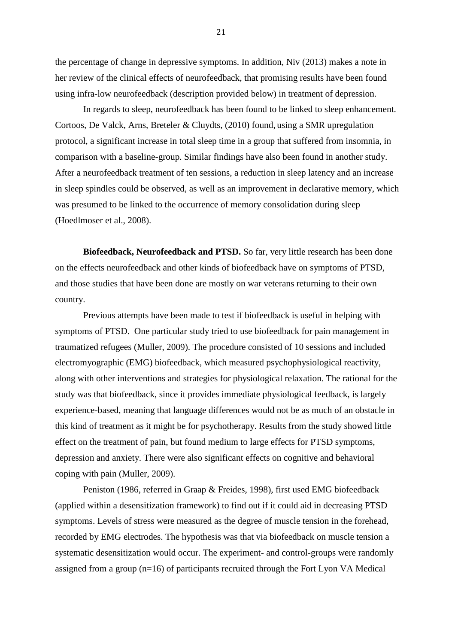the percentage of change in depressive symptoms. In addition, Niv (2013) makes a note in her review of the clinical effects of neurofeedback, that promising results have been found using infra-low neurofeedback (description provided below) in treatment of depression.

In regards to sleep, neurofeedback has been found to be linked to sleep enhancement. Cortoos, De Valck, Arns, Breteler & Cluydts, (2010) found, using a SMR upregulation protocol, a significant increase in total sleep time in a group that suffered from insomnia, in comparison with a baseline-group. Similar findings have also been found in another study. After a neurofeedback treatment of ten sessions, a reduction in sleep latency and an increase in sleep spindles could be observed, as well as an improvement in declarative memory, which was presumed to be linked to the occurrence of memory consolidation during sleep (Hoedlmoser et al., 2008).

**Biofeedback, Neurofeedback and PTSD.** So far, very little research has been done on the effects neurofeedback and other kinds of biofeedback have on symptoms of PTSD, and those studies that have been done are mostly on war veterans returning to their own country.

Previous attempts have been made to test if biofeedback is useful in helping with symptoms of PTSD. One particular study tried to use biofeedback for pain management in traumatized refugees (Muller, 2009). The procedure consisted of 10 sessions and included electromyographic (EMG) biofeedback, which measured psychophysiological reactivity, along with other interventions and strategies for physiological relaxation. The rational for the study was that biofeedback, since it provides immediate physiological feedback, is largely experience-based, meaning that language differences would not be as much of an obstacle in this kind of treatment as it might be for psychotherapy. Results from the study showed little effect on the treatment of pain, but found medium to large effects for PTSD symptoms, depression and anxiety. There were also significant effects on cognitive and behavioral coping with pain (Muller, 2009).

Peniston (1986, referred in Graap & Freides, 1998), first used EMG biofeedback (applied within a desensitization framework) to find out if it could aid in decreasing PTSD symptoms. Levels of stress were measured as the degree of muscle tension in the forehead, recorded by EMG electrodes. The hypothesis was that via biofeedback on muscle tension a systematic desensitization would occur. The experiment- and control-groups were randomly assigned from a group (n=16) of participants recruited through the Fort Lyon VA Medical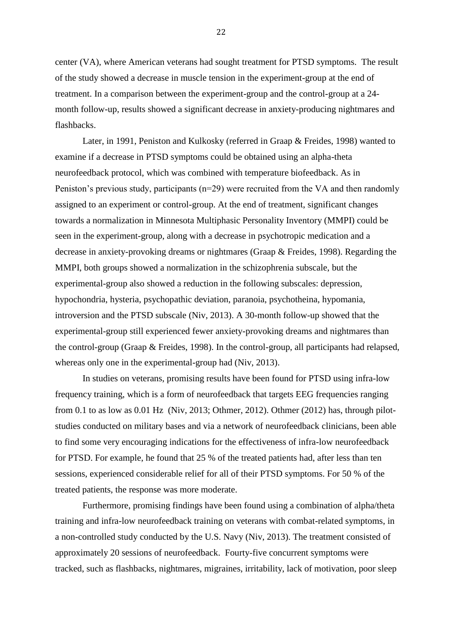center (VA), where American veterans had sought treatment for PTSD symptoms. The result of the study showed a decrease in muscle tension in the experiment-group at the end of treatment. In a comparison between the experiment-group and the control-group at a 24 month follow-up, results showed a significant decrease in anxiety-producing nightmares and flashbacks.

Later, in 1991, Peniston and Kulkosky (referred in Graap & Freides, 1998) wanted to examine if a decrease in PTSD symptoms could be obtained using an alpha-theta neurofeedback protocol, which was combined with temperature biofeedback. As in Peniston's previous study, participants (n=29) were recruited from the VA and then randomly assigned to an experiment or control-group. At the end of treatment, significant changes towards a normalization in Minnesota Multiphasic Personality Inventory (MMPI) could be seen in the experiment-group, along with a decrease in psychotropic medication and a decrease in anxiety-provoking dreams or nightmares (Graap & Freides, 1998). Regarding the MMPI, both groups showed a normalization in the schizophrenia subscale, but the experimental-group also showed a reduction in the following subscales: depression, hypochondria, hysteria, psychopathic deviation, paranoia, psychotheina, hypomania, introversion and the PTSD subscale (Niv, 2013). A 30-month follow-up showed that the experimental-group still experienced fewer anxiety-provoking dreams and nightmares than the control-group (Graap & Freides, 1998). In the control-group, all participants had relapsed, whereas only one in the experimental-group had (Niv, 2013).

In studies on veterans, promising results have been found for PTSD using infra-low frequency training, which is a form of neurofeedback that targets EEG frequencies ranging from 0.1 to as low as 0.01 Hz (Niv, 2013; Othmer, 2012). Othmer (2012) has, through pilotstudies conducted on military bases and via a network of neurofeedback clinicians, been able to find some very encouraging indications for the effectiveness of infra-low neurofeedback for PTSD. For example, he found that 25 % of the treated patients had, after less than ten sessions, experienced considerable relief for all of their PTSD symptoms. For 50 % of the treated patients, the response was more moderate.

Furthermore, promising findings have been found using a combination of alpha/theta training and infra-low neurofeedback training on veterans with combat-related symptoms, in a non-controlled study conducted by the U.S. Navy (Niv, 2013). The treatment consisted of approximately 20 sessions of neurofeedback. Fourty-five concurrent symptoms were tracked, such as flashbacks, nightmares, migraines, irritability, lack of motivation, poor sleep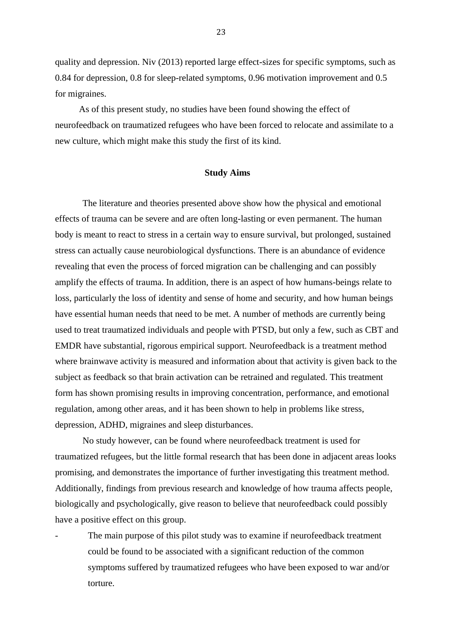quality and depression. Niv (2013) reported large effect-sizes for specific symptoms, such as 0.84 for depression, 0.8 for sleep-related symptoms, 0.96 motivation improvement and 0.5 for migraines.

As of this present study, no studies have been found showing the effect of neurofeedback on traumatized refugees who have been forced to relocate and assimilate to a new culture, which might make this study the first of its kind.

#### **Study Aims**

The literature and theories presented above show how the physical and emotional effects of trauma can be severe and are often long-lasting or even permanent. The human body is meant to react to stress in a certain way to ensure survival, but prolonged, sustained stress can actually cause neurobiological dysfunctions. There is an abundance of evidence revealing that even the process of forced migration can be challenging and can possibly amplify the effects of trauma. In addition, there is an aspect of how humans-beings relate to loss, particularly the loss of identity and sense of home and security, and how human beings have essential human needs that need to be met. A number of methods are currently being used to treat traumatized individuals and people with PTSD, but only a few, such as CBT and EMDR have substantial, rigorous empirical support. Neurofeedback is a treatment method where brainwave activity is measured and information about that activity is given back to the subject as feedback so that brain activation can be retrained and regulated. This treatment form has shown promising results in improving concentration, performance, and emotional regulation, among other areas, and it has been shown to help in problems like stress, depression, ADHD, migraines and sleep disturbances.

No study however, can be found where neurofeedback treatment is used for traumatized refugees, but the little formal research that has been done in adjacent areas looks promising, and demonstrates the importance of further investigating this treatment method. Additionally, findings from previous research and knowledge of how trauma affects people, biologically and psychologically, give reason to believe that neurofeedback could possibly have a positive effect on this group.

The main purpose of this pilot study was to examine if neurofeedback treatment could be found to be associated with a significant reduction of the common symptoms suffered by traumatized refugees who have been exposed to war and/or torture.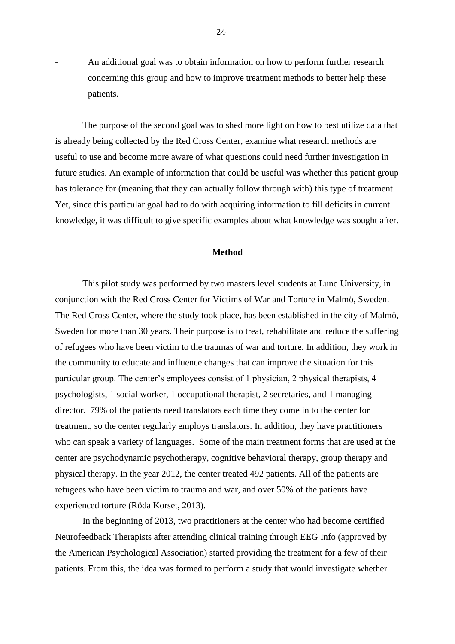- An additional goal was to obtain information on how to perform further research concerning this group and how to improve treatment methods to better help these patients.

The purpose of the second goal was to shed more light on how to best utilize data that is already being collected by the Red Cross Center, examine what research methods are useful to use and become more aware of what questions could need further investigation in future studies. An example of information that could be useful was whether this patient group has tolerance for (meaning that they can actually follow through with) this type of treatment. Yet, since this particular goal had to do with acquiring information to fill deficits in current knowledge, it was difficult to give specific examples about what knowledge was sought after.

#### **Method**

This pilot study was performed by two masters level students at Lund University, in conjunction with the Red Cross Center for Victims of War and Torture in Malmö, Sweden. The Red Cross Center, where the study took place, has been established in the city of Malmö, Sweden for more than 30 years. Their purpose is to treat, rehabilitate and reduce the suffering of refugees who have been victim to the traumas of war and torture. In addition, they work in the community to educate and influence changes that can improve the situation for this particular group. The center's employees consist of 1 physician, 2 physical therapists, 4 psychologists, 1 social worker, 1 occupational therapist, 2 secretaries, and 1 managing director. 79% of the patients need translators each time they come in to the center for treatment, so the center regularly employs translators. In addition, they have practitioners who can speak a variety of languages. Some of the main treatment forms that are used at the center are psychodynamic psychotherapy, cognitive behavioral therapy, group therapy and physical therapy. In the year 2012, the center treated 492 patients. All of the patients are refugees who have been victim to trauma and war, and over 50% of the patients have experienced torture (Röda Korset, 2013).

In the beginning of 2013, two practitioners at the center who had become certified Neurofeedback Therapists after attending clinical training through EEG Info (approved by the American Psychological Association) started providing the treatment for a few of their patients. From this, the idea was formed to perform a study that would investigate whether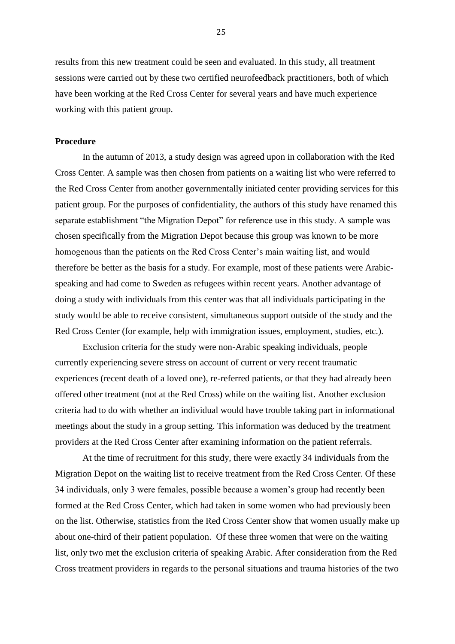results from this new treatment could be seen and evaluated. In this study, all treatment sessions were carried out by these two certified neurofeedback practitioners, both of which have been working at the Red Cross Center for several years and have much experience working with this patient group.

#### **Procedure**

In the autumn of 2013, a study design was agreed upon in collaboration with the Red Cross Center. A sample was then chosen from patients on a waiting list who were referred to the Red Cross Center from another governmentally initiated center providing services for this patient group. For the purposes of confidentiality, the authors of this study have renamed this separate establishment "the Migration Depot" for reference use in this study. A sample was chosen specifically from the Migration Depot because this group was known to be more homogenous than the patients on the Red Cross Center's main waiting list, and would therefore be better as the basis for a study. For example, most of these patients were Arabicspeaking and had come to Sweden as refugees within recent years. Another advantage of doing a study with individuals from this center was that all individuals participating in the study would be able to receive consistent, simultaneous support outside of the study and the Red Cross Center (for example, help with immigration issues, employment, studies, etc.).

Exclusion criteria for the study were non-Arabic speaking individuals, people currently experiencing severe stress on account of current or very recent traumatic experiences (recent death of a loved one), re-referred patients, or that they had already been offered other treatment (not at the Red Cross) while on the waiting list. Another exclusion criteria had to do with whether an individual would have trouble taking part in informational meetings about the study in a group setting. This information was deduced by the treatment providers at the Red Cross Center after examining information on the patient referrals.

At the time of recruitment for this study, there were exactly 34 individuals from the Migration Depot on the waiting list to receive treatment from the Red Cross Center. Of these 34 individuals, only 3 were females, possible because a women's group had recently been formed at the Red Cross Center, which had taken in some women who had previously been on the list. Otherwise, statistics from the Red Cross Center show that women usually make up about one-third of their patient population. Of these three women that were on the waiting list, only two met the exclusion criteria of speaking Arabic. After consideration from the Red Cross treatment providers in regards to the personal situations and trauma histories of the two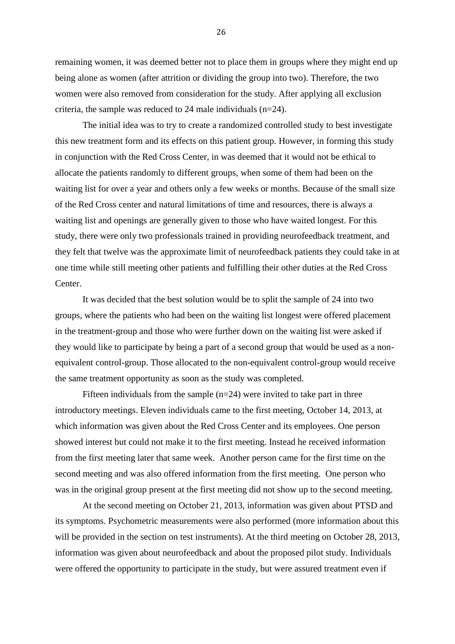remaining women, it was deemed better not to place them in groups where they might end up being alone as women (after attrition or dividing the group into two). Therefore, the two women were also removed from consideration for the study. After applying all exclusion criteria, the sample was reduced to 24 male individuals (n=24).

The initial idea was to try to create a randomized controlled study to best investigate this new treatment form and its effects on this patient group. However, in forming this study in conjunction with the Red Cross Center, in was deemed that it would not be ethical to allocate the patients randomly to different groups, when some of them had been on the waiting list for over a year and others only a few weeks or months. Because of the small size of the Red Cross center and natural limitations of time and resources, there is always a waiting list and openings are generally given to those who have waited longest. For this study, there were only two professionals trained in providing neurofeedback treatment, and they felt that twelve was the approximate limit of neurofeedback patients they could take in at one time while still meeting other patients and fulfilling their other duties at the Red Cross Center.

It was decided that the best solution would be to split the sample of 24 into two groups, where the patients who had been on the waiting list longest were offered placement in the treatment-group and those who were further down on the waiting list were asked if they would like to participate by being a part of a second group that would be used as a nonequivalent control-group. Those allocated to the non-equivalent control-group would receive the same treatment opportunity as soon as the study was completed.

Fifteen individuals from the sample  $(n=24)$  were invited to take part in three introductory meetings. Eleven individuals came to the first meeting, October 14, 2013, at which information was given about the Red Cross Center and its employees. One person showed interest but could not make it to the first meeting. Instead he received information from the first meeting later that same week. Another person came for the first time on the second meeting and was also offered information from the first meeting. One person who was in the original group present at the first meeting did not show up to the second meeting.

At the second meeting on October 21, 2013, information was given about PTSD and its symptoms. Psychometric measurements were also performed (more information about this will be provided in the section on test instruments). At the third meeting on October 28, 2013, information was given about neurofeedback and about the proposed pilot study. Individuals were offered the opportunity to participate in the study, but were assured treatment even if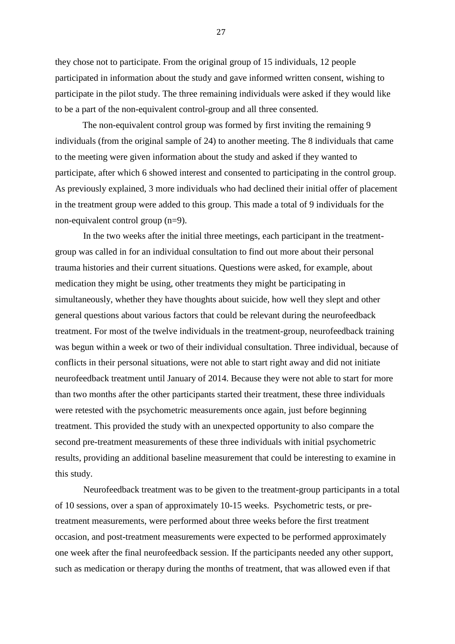they chose not to participate. From the original group of 15 individuals, 12 people participated in information about the study and gave informed written consent, wishing to participate in the pilot study. The three remaining individuals were asked if they would like to be a part of the non-equivalent control-group and all three consented.

The non-equivalent control group was formed by first inviting the remaining 9 individuals (from the original sample of 24) to another meeting. The 8 individuals that came to the meeting were given information about the study and asked if they wanted to participate, after which 6 showed interest and consented to participating in the control group. As previously explained, 3 more individuals who had declined their initial offer of placement in the treatment group were added to this group. This made a total of 9 individuals for the non-equivalent control group (n=9).

In the two weeks after the initial three meetings, each participant in the treatmentgroup was called in for an individual consultation to find out more about their personal trauma histories and their current situations. Questions were asked, for example, about medication they might be using, other treatments they might be participating in simultaneously, whether they have thoughts about suicide, how well they slept and other general questions about various factors that could be relevant during the neurofeedback treatment. For most of the twelve individuals in the treatment-group, neurofeedback training was begun within a week or two of their individual consultation. Three individual, because of conflicts in their personal situations, were not able to start right away and did not initiate neurofeedback treatment until January of 2014. Because they were not able to start for more than two months after the other participants started their treatment, these three individuals were retested with the psychometric measurements once again, just before beginning treatment. This provided the study with an unexpected opportunity to also compare the second pre-treatment measurements of these three individuals with initial psychometric results, providing an additional baseline measurement that could be interesting to examine in this study.

Neurofeedback treatment was to be given to the treatment-group participants in a total of 10 sessions, over a span of approximately 10-15 weeks. Psychometric tests, or pretreatment measurements, were performed about three weeks before the first treatment occasion, and post-treatment measurements were expected to be performed approximately one week after the final neurofeedback session. If the participants needed any other support, such as medication or therapy during the months of treatment, that was allowed even if that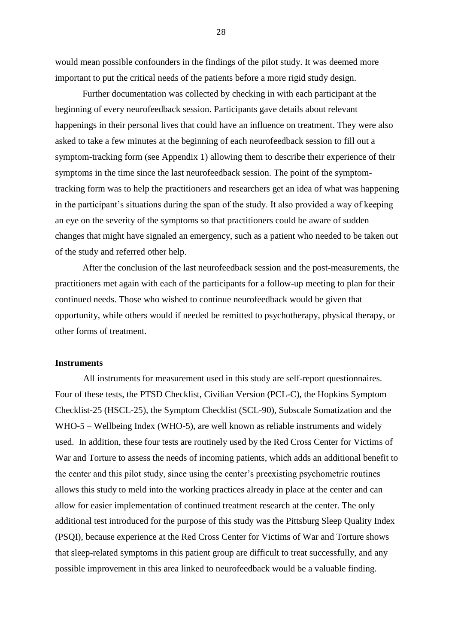would mean possible confounders in the findings of the pilot study. It was deemed more important to put the critical needs of the patients before a more rigid study design.

Further documentation was collected by checking in with each participant at the beginning of every neurofeedback session. Participants gave details about relevant happenings in their personal lives that could have an influence on treatment. They were also asked to take a few minutes at the beginning of each neurofeedback session to fill out a symptom-tracking form (see Appendix 1) allowing them to describe their experience of their symptoms in the time since the last neurofeedback session. The point of the symptomtracking form was to help the practitioners and researchers get an idea of what was happening in the participant's situations during the span of the study. It also provided a way of keeping an eye on the severity of the symptoms so that practitioners could be aware of sudden changes that might have signaled an emergency, such as a patient who needed to be taken out of the study and referred other help.

After the conclusion of the last neurofeedback session and the post-measurements, the practitioners met again with each of the participants for a follow-up meeting to plan for their continued needs. Those who wished to continue neurofeedback would be given that opportunity, while others would if needed be remitted to psychotherapy, physical therapy, or other forms of treatment.

#### **Instruments**

All instruments for measurement used in this study are self-report questionnaires. Four of these tests, the PTSD Checklist, Civilian Version (PCL-C), the Hopkins Symptom Checklist-25 (HSCL-25), the Symptom Checklist (SCL-90), Subscale Somatization and the WHO-5 – Wellbeing Index (WHO-5), are well known as reliable instruments and widely used. In addition, these four tests are routinely used by the Red Cross Center for Victims of War and Torture to assess the needs of incoming patients, which adds an additional benefit to the center and this pilot study, since using the center's preexisting psychometric routines allows this study to meld into the working practices already in place at the center and can allow for easier implementation of continued treatment research at the center. The only additional test introduced for the purpose of this study was the Pittsburg Sleep Quality Index (PSQI), because experience at the Red Cross Center for Victims of War and Torture shows that sleep-related symptoms in this patient group are difficult to treat successfully, and any possible improvement in this area linked to neurofeedback would be a valuable finding.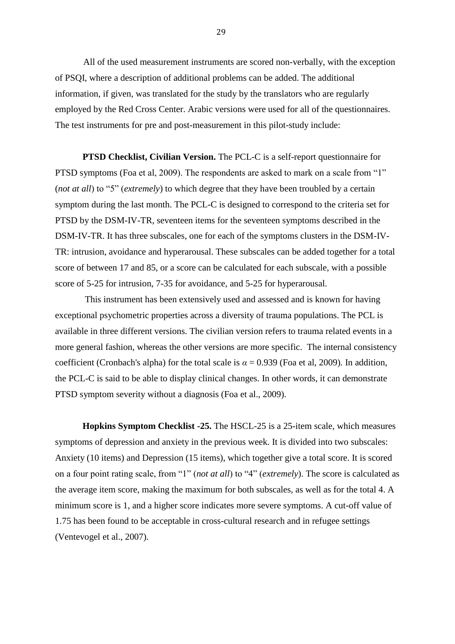All of the used measurement instruments are scored non-verbally, with the exception of PSQI, where a description of additional problems can be added. The additional information, if given, was translated for the study by the translators who are regularly employed by the Red Cross Center. Arabic versions were used for all of the questionnaires. The test instruments for pre and post-measurement in this pilot-study include:

**PTSD Checklist, Civilian Version.** The PCL-C is a self-report questionnaire for PTSD symptoms (Foa et al, 2009). The respondents are asked to mark on a scale from "1" (*not at all*) to "5" (*extremely*) to which degree that they have been troubled by a certain symptom during the last month. The PCL-C is designed to correspond to the criteria set for PTSD by the DSM-IV-TR, seventeen items for the seventeen symptoms described in the DSM-IV-TR. It has three subscales, one for each of the symptoms clusters in the DSM-IV-TR: intrusion, avoidance and hyperarousal. These subscales can be added together for a total score of between 17 and 85, or a score can be calculated for each subscale, with a possible score of 5-25 for intrusion, 7-35 for avoidance, and 5-25 for hyperarousal.

This instrument has been extensively used and assessed and is known for having exceptional psychometric properties across a diversity of trauma populations. The PCL is available in three different versions. The civilian version refers to trauma related events in a more general fashion, whereas the other versions are more specific. The internal consistency coefficient (Cronbach's alpha) for the total scale is  $\alpha = 0.939$  (Foa et al, 2009). In addition, the PCL-C is said to be able to display clinical changes. In other words, it can demonstrate PTSD symptom severity without a diagnosis (Foa et al., 2009).

**Hopkins Symptom Checklist -25.** The HSCL-25 is a 25-item scale, which measures symptoms of depression and anxiety in the previous week. It is divided into two subscales: Anxiety (10 items) and Depression (15 items), which together give a total score. It is scored on a four point rating scale, from "1" (*not at all*) to "4" (*extremely*). The score is calculated as the average item score, making the maximum for both subscales, as well as for the total 4. A minimum score is 1, and a higher score indicates more severe symptoms. A cut-off value of 1.75 has been found to be acceptable in cross-cultural research and in refugee settings (Ventevogel et al., 2007).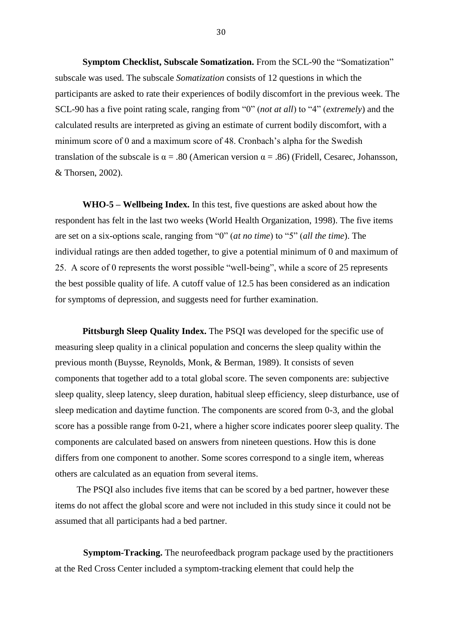**Symptom Checklist, Subscale Somatization.** From the SCL-90 the "Somatization" subscale was used. The subscale *Somatization* consists of 12 questions in which the participants are asked to rate their experiences of bodily discomfort in the previous week. The SCL-90 has a five point rating scale, ranging from "0" (*not at all*) to "4" (*extremely*) and the calculated results are interpreted as giving an estimate of current bodily discomfort, with a minimum score of 0 and a maximum score of 48. Cronbach's alpha for the Swedish translation of the subscale is  $\alpha = .80$  (American version  $\alpha = .86$ ) (Fridell, Cesarec, Johansson, & Thorsen, 2002).

**WHO-5 – Wellbeing Index.** In this test, five questions are asked about how the respondent has felt in the last two weeks (World Health Organization, 1998). The five items are set on a six-options scale, ranging from "0" (*at no time*) to "5" (*all the time*). The individual ratings are then added together, to give a potential minimum of 0 and maximum of 25. A score of 0 represents the worst possible "well-being", while a score of 25 represents the best possible quality of life. A cutoff value of 12.5 has been considered as an indication for symptoms of depression, and suggests need for further examination.

**Pittsburgh Sleep Quality Index.** The PSQI was developed for the specific use of measuring sleep quality in a clinical population and concerns the sleep quality within the previous month (Buysse, Reynolds, Monk, & Berman, 1989). It consists of seven components that together add to a total global score. The seven components are: subjective sleep quality, sleep latency, sleep duration, habitual sleep efficiency, sleep disturbance, use of sleep medication and daytime function. The components are scored from 0-3, and the global score has a possible range from 0-21, where a higher score indicates poorer sleep quality. The components are calculated based on answers from nineteen questions. How this is done differs from one component to another. Some scores correspond to a single item, whereas others are calculated as an equation from several items.

The PSQI also includes five items that can be scored by a bed partner, however these items do not affect the global score and were not included in this study since it could not be assumed that all participants had a bed partner.

**Symptom-Tracking.** The neurofeedback program package used by the practitioners at the Red Cross Center included a symptom-tracking element that could help the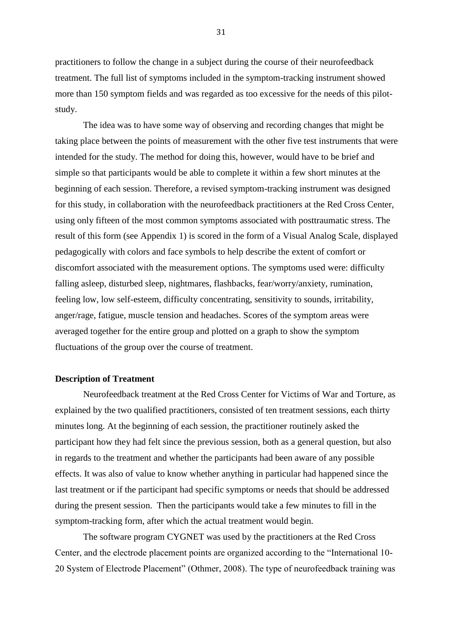practitioners to follow the change in a subject during the course of their neurofeedback treatment. The full list of symptoms included in the symptom-tracking instrument showed more than 150 symptom fields and was regarded as too excessive for the needs of this pilotstudy.

The idea was to have some way of observing and recording changes that might be taking place between the points of measurement with the other five test instruments that were intended for the study. The method for doing this, however, would have to be brief and simple so that participants would be able to complete it within a few short minutes at the beginning of each session. Therefore, a revised symptom-tracking instrument was designed for this study, in collaboration with the neurofeedback practitioners at the Red Cross Center, using only fifteen of the most common symptoms associated with posttraumatic stress. The result of this form (see Appendix 1) is scored in the form of a Visual Analog Scale, displayed pedagogically with colors and face symbols to help describe the extent of comfort or discomfort associated with the measurement options. The symptoms used were: difficulty falling asleep, disturbed sleep, nightmares, flashbacks, fear/worry/anxiety, rumination, feeling low, low self-esteem, difficulty concentrating, sensitivity to sounds, irritability, anger/rage, fatigue, muscle tension and headaches. Scores of the symptom areas were averaged together for the entire group and plotted on a graph to show the symptom fluctuations of the group over the course of treatment.

#### **Description of Treatment**

Neurofeedback treatment at the Red Cross Center for Victims of War and Torture, as explained by the two qualified practitioners, consisted of ten treatment sessions, each thirty minutes long. At the beginning of each session, the practitioner routinely asked the participant how they had felt since the previous session, both as a general question, but also in regards to the treatment and whether the participants had been aware of any possible effects. It was also of value to know whether anything in particular had happened since the last treatment or if the participant had specific symptoms or needs that should be addressed during the present session. Then the participants would take a few minutes to fill in the symptom-tracking form, after which the actual treatment would begin.

The software program CYGNET was used by the practitioners at the Red Cross Center, and the electrode placement points are organized according to the "International 10- 20 System of Electrode Placement" (Othmer, 2008). The type of neurofeedback training was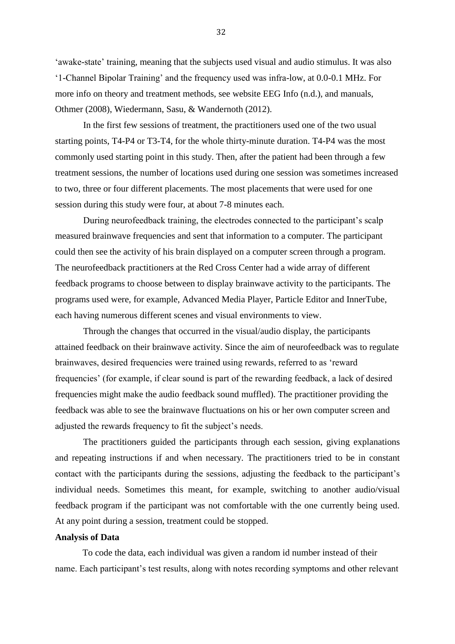'awake-state' training, meaning that the subjects used visual and audio stimulus. It was also '1-Channel Bipolar Training' and the frequency used was infra-low, at 0.0-0.1 MHz. For more info on theory and treatment methods, see website EEG Info (n.d.), and manuals, Othmer (2008), Wiedermann, Sasu, & Wandernoth (2012).

In the first few sessions of treatment, the practitioners used one of the two usual starting points, T4-P4 or T3-T4, for the whole thirty-minute duration. T4-P4 was the most commonly used starting point in this study. Then, after the patient had been through a few treatment sessions, the number of locations used during one session was sometimes increased to two, three or four different placements. The most placements that were used for one session during this study were four, at about 7-8 minutes each.

During neurofeedback training, the electrodes connected to the participant's scalp measured brainwave frequencies and sent that information to a computer. The participant could then see the activity of his brain displayed on a computer screen through a program. The neurofeedback practitioners at the Red Cross Center had a wide array of different feedback programs to choose between to display brainwave activity to the participants. The programs used were, for example, Advanced Media Player, Particle Editor and InnerTube, each having numerous different scenes and visual environments to view.

Through the changes that occurred in the visual/audio display, the participants attained feedback on their brainwave activity. Since the aim of neurofeedback was to regulate brainwaves, desired frequencies were trained using rewards, referred to as 'reward frequencies' (for example, if clear sound is part of the rewarding feedback, a lack of desired frequencies might make the audio feedback sound muffled). The practitioner providing the feedback was able to see the brainwave fluctuations on his or her own computer screen and adjusted the rewards frequency to fit the subject's needs.

The practitioners guided the participants through each session, giving explanations and repeating instructions if and when necessary. The practitioners tried to be in constant contact with the participants during the sessions, adjusting the feedback to the participant's individual needs. Sometimes this meant, for example, switching to another audio/visual feedback program if the participant was not comfortable with the one currently being used. At any point during a session, treatment could be stopped.

#### **Analysis of Data**

To code the data, each individual was given a random id number instead of their name. Each participant's test results, along with notes recording symptoms and other relevant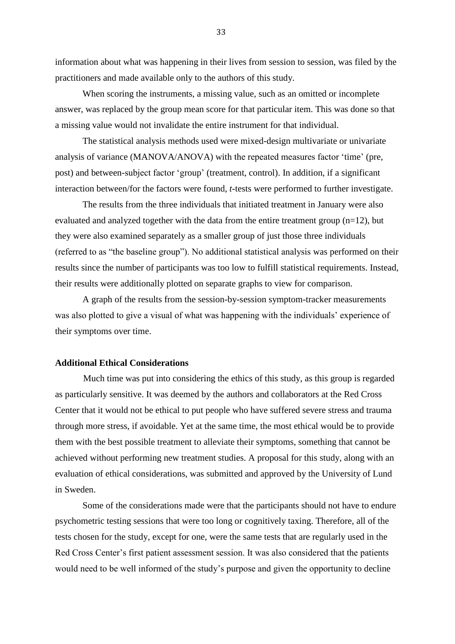information about what was happening in their lives from session to session, was filed by the practitioners and made available only to the authors of this study.

When scoring the instruments, a missing value, such as an omitted or incomplete answer, was replaced by the group mean score for that particular item. This was done so that a missing value would not invalidate the entire instrument for that individual.

The statistical analysis methods used were mixed-design multivariate or univariate analysis of variance (MANOVA/ANOVA) with the repeated measures factor 'time' (pre, post) and between-subject factor 'group' (treatment, control). In addition, if a significant interaction between/for the factors were found, *t*-tests were performed to further investigate.

The results from the three individuals that initiated treatment in January were also evaluated and analyzed together with the data from the entire treatment group (n=12), but they were also examined separately as a smaller group of just those three individuals (referred to as "the baseline group"). No additional statistical analysis was performed on their results since the number of participants was too low to fulfill statistical requirements. Instead, their results were additionally plotted on separate graphs to view for comparison.

A graph of the results from the session-by-session symptom-tracker measurements was also plotted to give a visual of what was happening with the individuals' experience of their symptoms over time.

#### **Additional Ethical Considerations**

Much time was put into considering the ethics of this study, as this group is regarded as particularly sensitive. It was deemed by the authors and collaborators at the Red Cross Center that it would not be ethical to put people who have suffered severe stress and trauma through more stress, if avoidable. Yet at the same time, the most ethical would be to provide them with the best possible treatment to alleviate their symptoms, something that cannot be achieved without performing new treatment studies. A proposal for this study, along with an evaluation of ethical considerations, was submitted and approved by the University of Lund in Sweden.

Some of the considerations made were that the participants should not have to endure psychometric testing sessions that were too long or cognitively taxing. Therefore, all of the tests chosen for the study, except for one, were the same tests that are regularly used in the Red Cross Center's first patient assessment session. It was also considered that the patients would need to be well informed of the study's purpose and given the opportunity to decline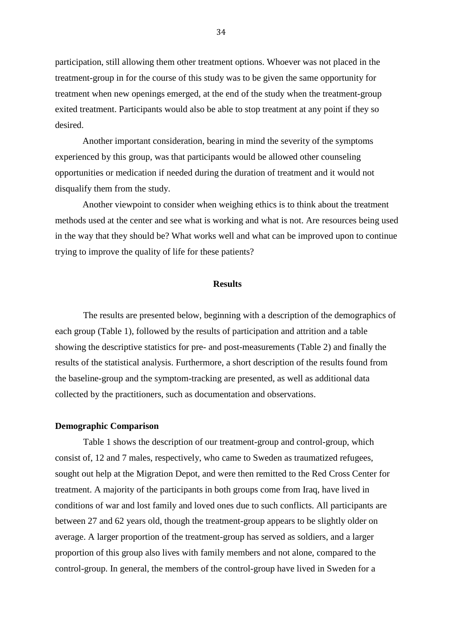participation, still allowing them other treatment options. Whoever was not placed in the treatment-group in for the course of this study was to be given the same opportunity for treatment when new openings emerged, at the end of the study when the treatment-group exited treatment. Participants would also be able to stop treatment at any point if they so desired.

Another important consideration, bearing in mind the severity of the symptoms experienced by this group, was that participants would be allowed other counseling opportunities or medication if needed during the duration of treatment and it would not disqualify them from the study.

Another viewpoint to consider when weighing ethics is to think about the treatment methods used at the center and see what is working and what is not. Are resources being used in the way that they should be? What works well and what can be improved upon to continue trying to improve the quality of life for these patients?

#### **Results**

The results are presented below, beginning with a description of the demographics of each group (Table 1), followed by the results of participation and attrition and a table showing the descriptive statistics for pre- and post-measurements (Table 2) and finally the results of the statistical analysis. Furthermore, a short description of the results found from the baseline-group and the symptom-tracking are presented, as well as additional data collected by the practitioners, such as documentation and observations.

#### **Demographic Comparison**

Table 1 shows the description of our treatment-group and control-group, which consist of, 12 and 7 males, respectively, who came to Sweden as traumatized refugees, sought out help at the Migration Depot, and were then remitted to the Red Cross Center for treatment. A majority of the participants in both groups come from Iraq, have lived in conditions of war and lost family and loved ones due to such conflicts. All participants are between 27 and 62 years old, though the treatment-group appears to be slightly older on average. A larger proportion of the treatment-group has served as soldiers, and a larger proportion of this group also lives with family members and not alone, compared to the control-group. In general, the members of the control-group have lived in Sweden for a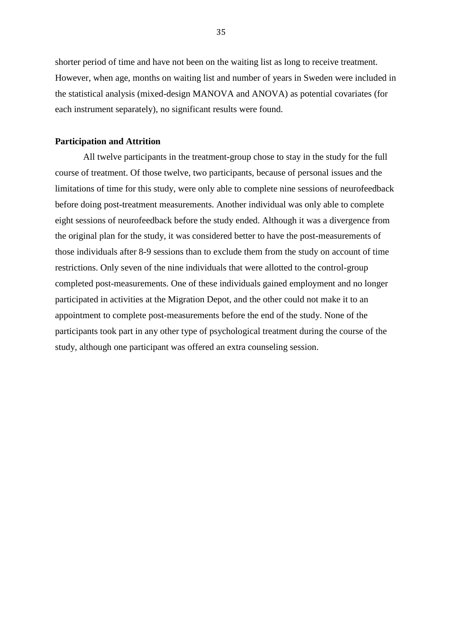shorter period of time and have not been on the waiting list as long to receive treatment. However, when age, months on waiting list and number of years in Sweden were included in the statistical analysis (mixed-design MANOVA and ANOVA) as potential covariates (for each instrument separately), no significant results were found.

#### **Participation and Attrition**

All twelve participants in the treatment-group chose to stay in the study for the full course of treatment. Of those twelve, two participants, because of personal issues and the limitations of time for this study, were only able to complete nine sessions of neurofeedback before doing post-treatment measurements. Another individual was only able to complete eight sessions of neurofeedback before the study ended. Although it was a divergence from the original plan for the study, it was considered better to have the post-measurements of those individuals after 8-9 sessions than to exclude them from the study on account of time restrictions. Only seven of the nine individuals that were allotted to the control-group completed post-measurements. One of these individuals gained employment and no longer participated in activities at the Migration Depot, and the other could not make it to an appointment to complete post-measurements before the end of the study. None of the participants took part in any other type of psychological treatment during the course of the study, although one participant was offered an extra counseling session.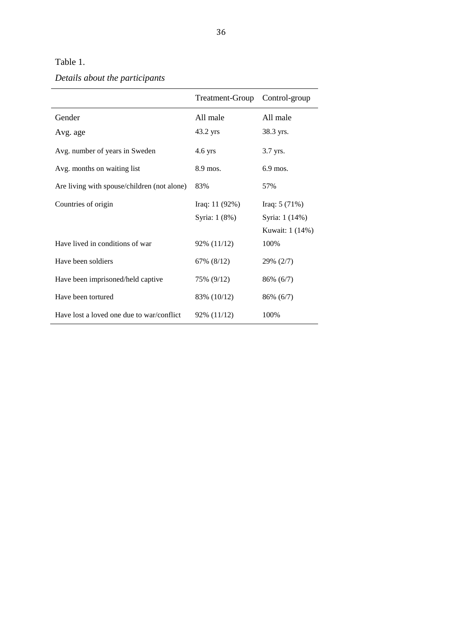## Table 1.

# *Details about the participants*

|                                             | Treatment-Group  | Control-group   |
|---------------------------------------------|------------------|-----------------|
| Gender                                      | All male         | All male        |
| Avg. age                                    | 43.2 yrs         | 38.3 yrs.       |
| Avg. number of years in Sweden              | $4.6$ yrs        | 3.7 yrs.        |
| Avg. months on waiting list                 | 8.9 mos.         | $6.9$ mos.      |
| Are living with spouse/children (not alone) | 83%              | 57%             |
| Countries of origin                         | Iraq: $11 (92%)$ | Iraq: $5(71%)$  |
|                                             | Syria: 1 (8%)    | Syria: 1 (14%)  |
|                                             |                  | Kuwait: 1 (14%) |
| Have lived in conditions of war             | 92% (11/12)      | 100%            |
| Have been soldiers                          | 67% (8/12)       | 29% (2/7)       |
| Have been imprisoned/held captive           | 75% (9/12)       | 86% (6/7)       |
| Have been tortured                          | 83% (10/12)      | 86% (6/7)       |
| Have lost a loved one due to war/conflict   | 92% (11/12)      | 100\%           |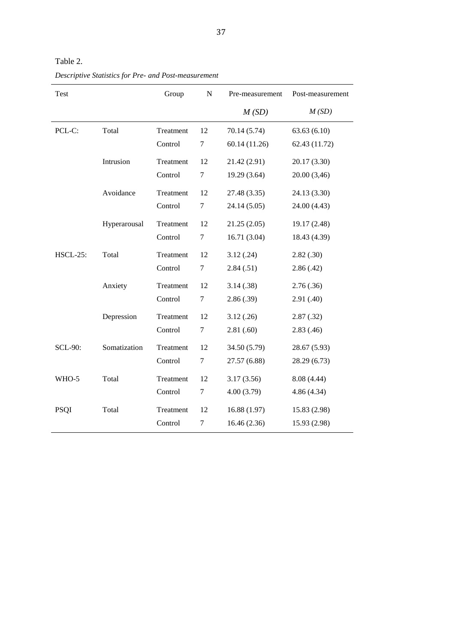| Test            |              | Group     | N      | Pre-measurement | Post-measurement |
|-----------------|--------------|-----------|--------|-----------------|------------------|
|                 |              |           |        | M(SD)           | M(SD)            |
| PCL-C:          | Total        | Treatment | 12     | 70.14 (5.74)    | 63.63(6.10)      |
|                 |              | Control   | $\tau$ | 60.14 (11.26)   | 62.43 (11.72)    |
|                 | Intrusion    | Treatment | 12     | 21.42 (2.91)    | 20.17 (3.30)     |
|                 |              | Control   | $\tau$ | 19.29 (3.64)    | 20.00 (3,46)     |
|                 | Avoidance    | Treatment | 12     | 27.48 (3.35)    | 24.13 (3.30)     |
|                 |              | Control   | $\tau$ | 24.14 (5.05)    | 24.00 (4.43)     |
|                 | Hyperarousal | Treatment | 12     | 21.25(2.05)     | 19.17 (2.48)     |
|                 |              | Control   | $\tau$ | 16.71(3.04)     | 18.43 (4.39)     |
| <b>HSCL-25:</b> | Total        | Treatment | 12     | 3.12(.24)       | 2.82(.30)        |
|                 |              | Control   | $\tau$ | 2.84(.51)       | 2.86(.42)        |
|                 | Anxiety      | Treatment | 12     | 3.14(.38)       | 2.76(.36)        |
|                 |              | Control   | 7      | 2.86(.39)       | 2.91(.40)        |
|                 | Depression   | Treatment | 12     | 3.12(.26)       | 2.87(.32)        |
|                 |              | Control   | $\tau$ | 2.81(.60)       | 2.83(0.46)       |
| <b>SCL-90:</b>  | Somatization | Treatment | 12     | 34.50 (5.79)    | 28.67 (5.93)     |
|                 |              | Control   | $\tau$ | 27.57 (6.88)    | 28.29 (6.73)     |
| WHO-5           | Total        | Treatment | 12     | 3.17(3.56)      | 8.08 (4.44)      |
|                 |              | Control   | $\tau$ | 4.00(3.79)      | 4.86(4.34)       |
| <b>PSQI</b>     | Total        | Treatment | 12     | 16.88 (1.97)    | 15.83 (2.98)     |
|                 |              | Control   | $\tau$ | 16.46 (2.36)    | 15.93 (2.98)     |

Table 2. *Descriptive Statistics for Pre- and Post-measurement*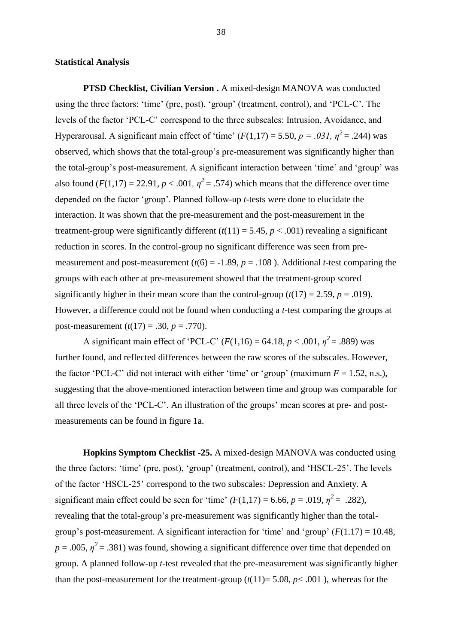#### **Statistical Analysis**

**PTSD Checklist, Civilian Version .** A mixed-design MANOVA was conducted using the three factors: 'time' (pre, post), 'group' (treatment, control), and 'PCL-C'. The levels of the factor 'PCL-C' correspond to the three subscales: Intrusion, Avoidance, and Hyperarousal. A significant main effect of 'time'  $(F(1,17) = 5.50, p = .031, \eta^2 = .244)$  was observed, which shows that the total-group's pre-measurement was significantly higher than the total-group's post-measurement. A significant interaction between 'time' and 'group' was also found  $(F(1,17) = 22.91, p < .001, \eta^2 = .574)$  which means that the difference over time depended on the factor 'group'. Planned follow-up *t*-tests were done to elucidate the interaction. It was shown that the pre-measurement and the post-measurement in the treatment-group were significantly different  $(t(11) = 5.45, p < .001)$  revealing a significant reduction in scores. In the control-group no significant difference was seen from premeasurement and post-measurement  $(t(6) = -1.89, p = .108)$ . Additional *t*-test comparing the groups with each other at pre-measurement showed that the treatment-group scored significantly higher in their mean score than the control-group  $(t(17) = 2.59, p = .019)$ . However, a difference could not be found when conducting a *t*-test comparing the groups at post-measurement  $(t(17) = .30, p = .770)$ .

A significant main effect of 'PCL-C'  $(F(1,16) = 64.18, p < .001, \eta^2 = .889)$  was further found, and reflected differences between the raw scores of the subscales. However, the factor 'PCL-C' did not interact with either 'time' or 'group' (maximum  $F = 1.52$ , n.s.), suggesting that the above-mentioned interaction between time and group was comparable for all three levels of the 'PCL-C'. An illustration of the groups' mean scores at pre- and postmeasurements can be found in figure 1a.

**Hopkins Symptom Checklist -25.** A mixed-design MANOVA was conducted using the three factors: 'time' (pre, post), 'group' (treatment, control), and 'HSCL-25'. The levels of the factor 'HSCL-25' correspond to the two subscales: Depression and Anxiety. A significant main effect could be seen for 'time'  $(F(1,17) = 6.66, p = .019, \eta^2 = .282)$ , revealing that the total-group's pre-measurement was significantly higher than the totalgroup's post-measurement. A significant interaction for 'time' and 'group'  $(F(1.17) = 10.48$ ,  $p = .005$ ,  $\eta^2 = .381$ ) was found, showing a significant difference over time that depended on group. A planned follow-up *t*-test revealed that the pre-measurement was significantly higher than the post-measurement for the treatment-group  $(t(11)=5.08, p<.001$ ), whereas for the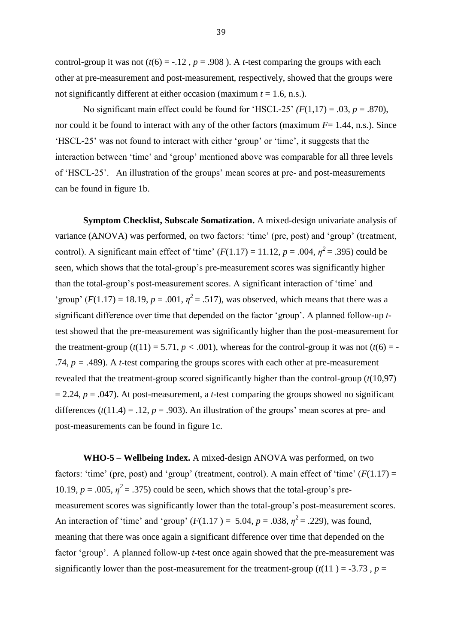control-group it was not  $(t(6) = -.12$ ,  $p = .908$ ). A *t*-test comparing the groups with each other at pre-measurement and post-measurement, respectively, showed that the groups were not significantly different at either occasion (maximum *t* = 1.6, n.s.).

No significant main effect could be found for 'HSCL-25'  $(F(1,17) = .03, p = .870)$ , nor could it be found to interact with any of the other factors (maximum  $F= 1.44$ , n.s.). Since 'HSCL-25' was not found to interact with either 'group' or 'time', it suggests that the interaction between 'time' and 'group' mentioned above was comparable for all three levels of 'HSCL-25'. An illustration of the groups' mean scores at pre- and post-measurements can be found in figure 1b.

**Symptom Checklist, Subscale Somatization.** A mixed-design univariate analysis of variance (ANOVA) was performed, on two factors: 'time' (pre, post) and 'group' (treatment, control). A significant main effect of 'time'  $(F(1.17) = 11.12, p = .004, \eta^2 = .395)$  could be seen, which shows that the total-group's pre-measurement scores was significantly higher than the total-group's post-measurement scores. A significant interaction of 'time' and 'group'  $(F(1.17) = 18.19, p = .001, \eta^2 = .517)$ , was observed, which means that there was a significant difference over time that depended on the factor 'group'. A planned follow-up *t*test showed that the pre-measurement was significantly higher than the post-measurement for the treatment-group  $(t(11) = 5.71, p < .001)$ , whereas for the control-group it was not  $(t(6) = -$ .74, *p = .*489). A *t*-test comparing the groups scores with each other at pre-measurement revealed that the treatment-group scored significantly higher than the control-group (*t*(10,97)  $= 2.24$ ,  $p = .047$ ). At post-measurement, a *t*-test comparing the groups showed no significant differences  $(t(11.4) = .12, p = .903)$ . An illustration of the groups' mean scores at pre- and post-measurements can be found in figure 1c.

**WHO-5 – Wellbeing Index.** A mixed-design ANOVA was performed, on two factors: 'time' (pre, post) and 'group' (treatment, control). A main effect of 'time'  $(F(1.17) =$ 10.19,  $p = .005$ ,  $\eta^2 = .375$ ) could be seen, which shows that the total-group's premeasurement scores was significantly lower than the total-group's post-measurement scores. An interaction of 'time' and 'group'  $(F(1.17) = 5.04, p = .038, \eta^2 = .229)$ , was found, meaning that there was once again a significant difference over time that depended on the factor 'group'. A planned follow-up *t*-test once again showed that the pre-measurement was significantly lower than the post-measurement for the treatment-group  $(t(11) = -3.73$ ,  $p =$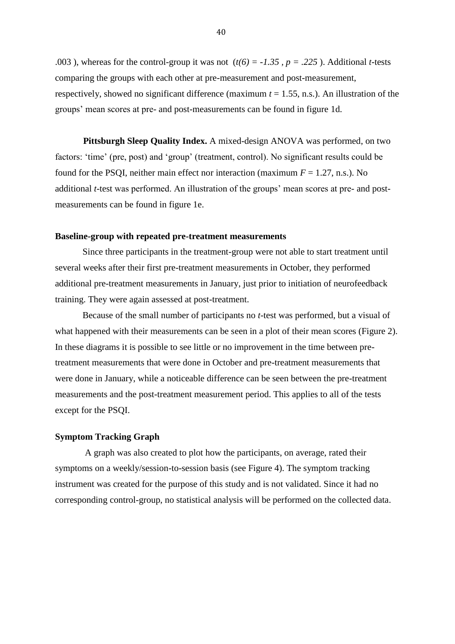.003 ), whereas for the control-group it was not  $(t(6) = -1.35, p = .225)$ . Additional *t*-tests comparing the groups with each other at pre-measurement and post-measurement, respectively, showed no significant difference (maximum *t* = 1.55, n.s.). An illustration of the groups' mean scores at pre- and post-measurements can be found in figure 1d.

**Pittsburgh Sleep Quality Index.** A mixed-design ANOVA was performed, on two factors: 'time' (pre, post) and 'group' (treatment, control). No significant results could be found for the PSQI, neither main effect nor interaction (maximum  $F = 1.27$ , n.s.). No additional *t*-test was performed. An illustration of the groups' mean scores at pre- and postmeasurements can be found in figure 1e.

#### **Baseline-group with repeated pre-treatment measurements**

Since three participants in the treatment-group were not able to start treatment until several weeks after their first pre-treatment measurements in October, they performed additional pre-treatment measurements in January, just prior to initiation of neurofeedback training. They were again assessed at post-treatment.

Because of the small number of participants no *t*-test was performed, but a visual of what happened with their measurements can be seen in a plot of their mean scores (Figure 2). In these diagrams it is possible to see little or no improvement in the time between pretreatment measurements that were done in October and pre-treatment measurements that were done in January, while a noticeable difference can be seen between the pre-treatment measurements and the post-treatment measurement period. This applies to all of the tests except for the PSQI.

#### **Symptom Tracking Graph**

A graph was also created to plot how the participants, on average, rated their symptoms on a weekly/session-to-session basis (see Figure 4). The symptom tracking instrument was created for the purpose of this study and is not validated. Since it had no corresponding control-group, no statistical analysis will be performed on the collected data.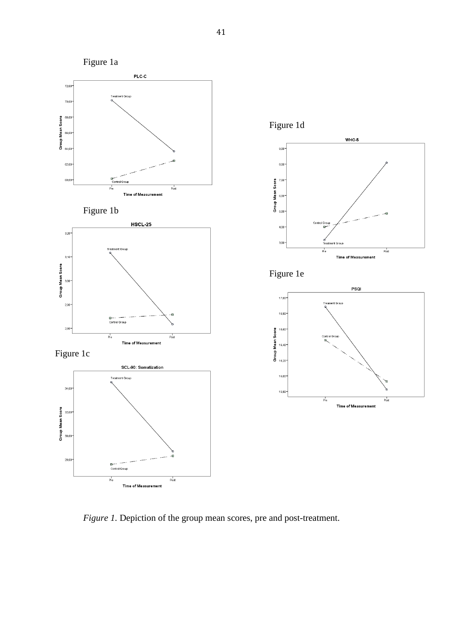

*Figure 1.* Depiction of the group mean scores, pre and post-treatment.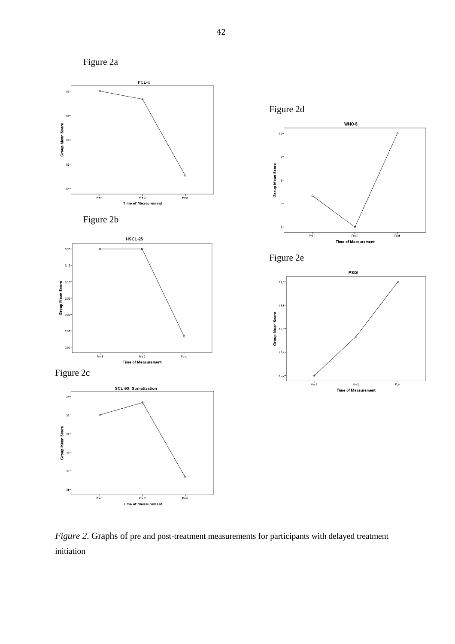

*Figure 2*. Graphs of pre and post-treatment measurements for participants with delayed treatment initiation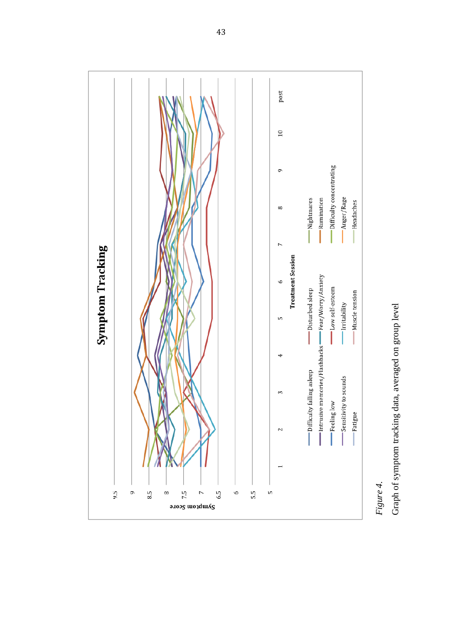

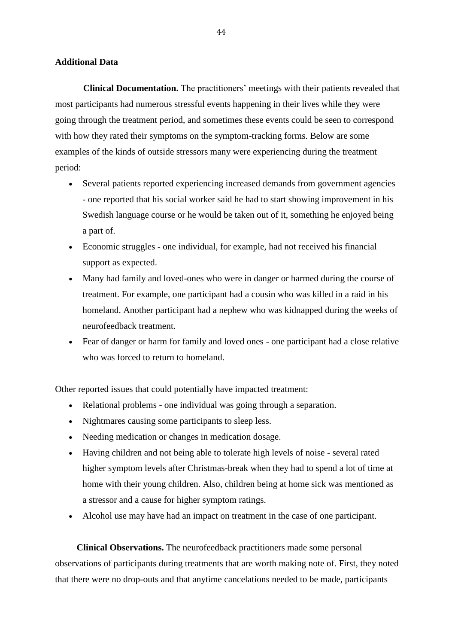#### **Additional Data**

**Clinical Documentation.** The practitioners' meetings with their patients revealed that most participants had numerous stressful events happening in their lives while they were going through the treatment period, and sometimes these events could be seen to correspond with how they rated their symptoms on the symptom-tracking forms. Below are some examples of the kinds of outside stressors many were experiencing during the treatment period:

- Several patients reported experiencing increased demands from government agencies - one reported that his social worker said he had to start showing improvement in his Swedish language course or he would be taken out of it, something he enjoyed being a part of.
- Economic struggles one individual, for example, had not received his financial support as expected.
- Many had family and loved-ones who were in danger or harmed during the course of treatment. For example, one participant had a cousin who was killed in a raid in his homeland. Another participant had a nephew who was kidnapped during the weeks of neurofeedback treatment.
- Fear of danger or harm for family and loved ones one participant had a close relative who was forced to return to homeland.

Other reported issues that could potentially have impacted treatment:

- Relational problems one individual was going through a separation.
- Nightmares causing some participants to sleep less.
- Needing medication or changes in medication dosage.
- Having children and not being able to tolerate high levels of noise several rated higher symptom levels after Christmas-break when they had to spend a lot of time at home with their young children. Also, children being at home sick was mentioned as a stressor and a cause for higher symptom ratings.
- Alcohol use may have had an impact on treatment in the case of one participant.

**Clinical Observations.** The neurofeedback practitioners made some personal observations of participants during treatments that are worth making note of. First, they noted that there were no drop-outs and that anytime cancelations needed to be made, participants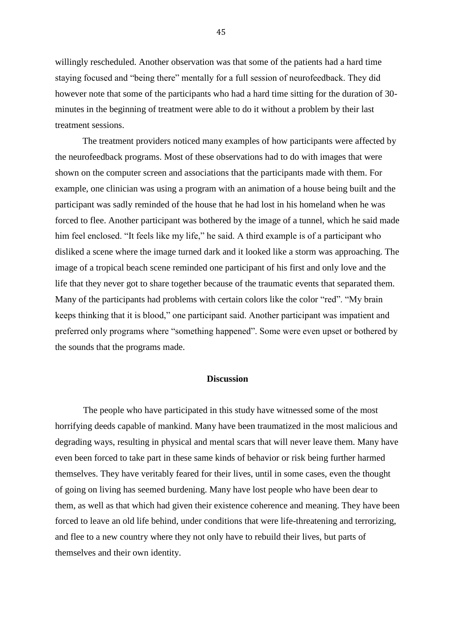willingly rescheduled. Another observation was that some of the patients had a hard time staying focused and "being there" mentally for a full session of neurofeedback. They did however note that some of the participants who had a hard time sitting for the duration of 30 minutes in the beginning of treatment were able to do it without a problem by their last treatment sessions.

The treatment providers noticed many examples of how participants were affected by the neurofeedback programs. Most of these observations had to do with images that were shown on the computer screen and associations that the participants made with them. For example, one clinician was using a program with an animation of a house being built and the participant was sadly reminded of the house that he had lost in his homeland when he was forced to flee. Another participant was bothered by the image of a tunnel, which he said made him feel enclosed. "It feels like my life," he said. A third example is of a participant who disliked a scene where the image turned dark and it looked like a storm was approaching. The image of a tropical beach scene reminded one participant of his first and only love and the life that they never got to share together because of the traumatic events that separated them. Many of the participants had problems with certain colors like the color "red". "My brain keeps thinking that it is blood," one participant said. Another participant was impatient and preferred only programs where "something happened". Some were even upset or bothered by the sounds that the programs made.

#### **Discussion**

The people who have participated in this study have witnessed some of the most horrifying deeds capable of mankind. Many have been traumatized in the most malicious and degrading ways, resulting in physical and mental scars that will never leave them. Many have even been forced to take part in these same kinds of behavior or risk being further harmed themselves. They have veritably feared for their lives, until in some cases, even the thought of going on living has seemed burdening. Many have lost people who have been dear to them, as well as that which had given their existence coherence and meaning. They have been forced to leave an old life behind, under conditions that were life-threatening and terrorizing, and flee to a new country where they not only have to rebuild their lives, but parts of themselves and their own identity.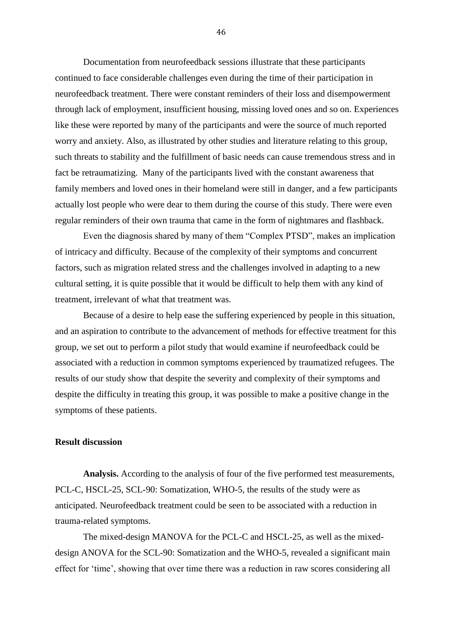Documentation from neurofeedback sessions illustrate that these participants continued to face considerable challenges even during the time of their participation in neurofeedback treatment. There were constant reminders of their loss and disempowerment through lack of employment, insufficient housing, missing loved ones and so on. Experiences like these were reported by many of the participants and were the source of much reported worry and anxiety. Also, as illustrated by other studies and literature relating to this group, such threats to stability and the fulfillment of basic needs can cause tremendous stress and in fact be retraumatizing. Many of the participants lived with the constant awareness that family members and loved ones in their homeland were still in danger, and a few participants actually lost people who were dear to them during the course of this study. There were even regular reminders of their own trauma that came in the form of nightmares and flashback.

Even the diagnosis shared by many of them "Complex PTSD", makes an implication of intricacy and difficulty. Because of the complexity of their symptoms and concurrent factors, such as migration related stress and the challenges involved in adapting to a new cultural setting, it is quite possible that it would be difficult to help them with any kind of treatment, irrelevant of what that treatment was.

Because of a desire to help ease the suffering experienced by people in this situation, and an aspiration to contribute to the advancement of methods for effective treatment for this group, we set out to perform a pilot study that would examine if neurofeedback could be associated with a reduction in common symptoms experienced by traumatized refugees. The results of our study show that despite the severity and complexity of their symptoms and despite the difficulty in treating this group, it was possible to make a positive change in the symptoms of these patients.

### **Result discussion**

**Analysis.** According to the analysis of four of the five performed test measurements, PCL-C, HSCL-25, SCL-90: Somatization, WHO-5, the results of the study were as anticipated. Neurofeedback treatment could be seen to be associated with a reduction in trauma-related symptoms.

The mixed-design MANOVA for the PCL-C and HSCL-25, as well as the mixeddesign ANOVA for the SCL-90: Somatization and the WHO-5, revealed a significant main effect for 'time', showing that over time there was a reduction in raw scores considering all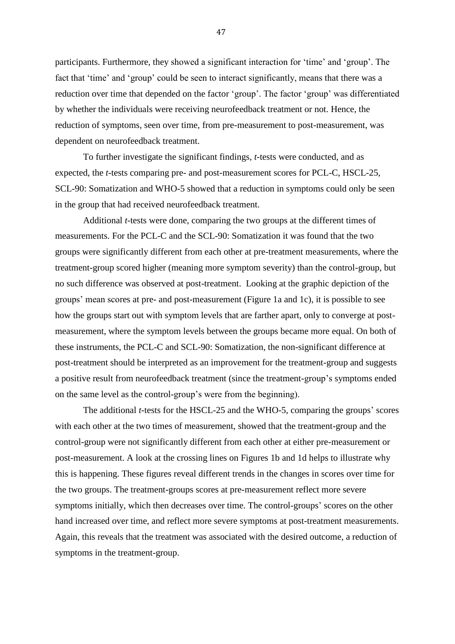participants. Furthermore, they showed a significant interaction for 'time' and 'group'. The fact that 'time' and 'group' could be seen to interact significantly, means that there was a reduction over time that depended on the factor 'group'. The factor 'group' was differentiated by whether the individuals were receiving neurofeedback treatment or not. Hence, the reduction of symptoms, seen over time, from pre-measurement to post-measurement, was dependent on neurofeedback treatment.

To further investigate the significant findings, *t*-tests were conducted, and as expected, the *t*-tests comparing pre- and post-measurement scores for PCL-C, HSCL-25, SCL-90: Somatization and WHO-5 showed that a reduction in symptoms could only be seen in the group that had received neurofeedback treatment.

Additional *t*-tests were done, comparing the two groups at the different times of measurements. For the PCL-C and the SCL-90: Somatization it was found that the two groups were significantly different from each other at pre-treatment measurements, where the treatment-group scored higher (meaning more symptom severity) than the control-group, but no such difference was observed at post-treatment. Looking at the graphic depiction of the groups' mean scores at pre- and post-measurement (Figure 1a and 1c), it is possible to see how the groups start out with symptom levels that are farther apart, only to converge at postmeasurement, where the symptom levels between the groups became more equal. On both of these instruments, the PCL-C and SCL-90: Somatization, the non-significant difference at post-treatment should be interpreted as an improvement for the treatment-group and suggests a positive result from neurofeedback treatment (since the treatment-group's symptoms ended on the same level as the control-group's were from the beginning).

The additional *t*-tests for the HSCL-25 and the WHO-5, comparing the groups' scores with each other at the two times of measurement, showed that the treatment-group and the control-group were not significantly different from each other at either pre-measurement or post-measurement. A look at the crossing lines on Figures 1b and 1d helps to illustrate why this is happening. These figures reveal different trends in the changes in scores over time for the two groups. The treatment-groups scores at pre-measurement reflect more severe symptoms initially, which then decreases over time. The control-groups' scores on the other hand increased over time, and reflect more severe symptoms at post-treatment measurements. Again, this reveals that the treatment was associated with the desired outcome, a reduction of symptoms in the treatment-group.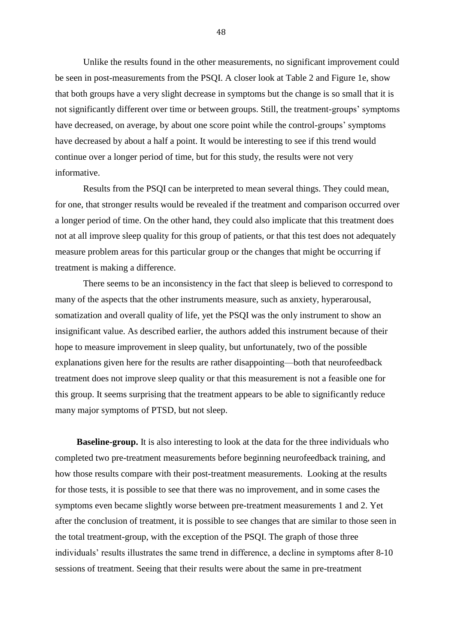Unlike the results found in the other measurements, no significant improvement could be seen in post-measurements from the PSQI. A closer look at Table 2 and Figure 1e, show that both groups have a very slight decrease in symptoms but the change is so small that it is not significantly different over time or between groups. Still, the treatment-groups' symptoms have decreased, on average, by about one score point while the control-groups' symptoms have decreased by about a half a point. It would be interesting to see if this trend would continue over a longer period of time, but for this study, the results were not very informative.

Results from the PSQI can be interpreted to mean several things. They could mean, for one, that stronger results would be revealed if the treatment and comparison occurred over a longer period of time. On the other hand, they could also implicate that this treatment does not at all improve sleep quality for this group of patients, or that this test does not adequately measure problem areas for this particular group or the changes that might be occurring if treatment is making a difference.

There seems to be an inconsistency in the fact that sleep is believed to correspond to many of the aspects that the other instruments measure, such as anxiety, hyperarousal, somatization and overall quality of life, yet the PSQI was the only instrument to show an insignificant value. As described earlier, the authors added this instrument because of their hope to measure improvement in sleep quality, but unfortunately, two of the possible explanations given here for the results are rather disappointing—both that neurofeedback treatment does not improve sleep quality or that this measurement is not a feasible one for this group. It seems surprising that the treatment appears to be able to significantly reduce many major symptoms of PTSD, but not sleep.

**Baseline-group.** It is also interesting to look at the data for the three individuals who completed two pre-treatment measurements before beginning neurofeedback training, and how those results compare with their post-treatment measurements. Looking at the results for those tests, it is possible to see that there was no improvement, and in some cases the symptoms even became slightly worse between pre-treatment measurements 1 and 2. Yet after the conclusion of treatment, it is possible to see changes that are similar to those seen in the total treatment-group, with the exception of the PSQI. The graph of those three individuals' results illustrates the same trend in difference, a decline in symptoms after 8-10 sessions of treatment. Seeing that their results were about the same in pre-treatment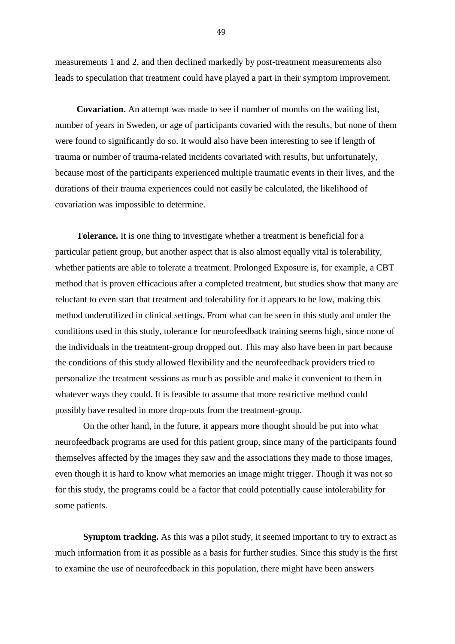measurements 1 and 2, and then declined markedly by post-treatment measurements also leads to speculation that treatment could have played a part in their symptom improvement.

**Covariation.** An attempt was made to see if number of months on the waiting list, number of years in Sweden, or age of participants covaried with the results, but none of them were found to significantly do so. It would also have been interesting to see if length of trauma or number of trauma-related incidents covariated with results, but unfortunately, because most of the participants experienced multiple traumatic events in their lives, and the durations of their trauma experiences could not easily be calculated, the likelihood of covariation was impossible to determine.

**Tolerance.** It is one thing to investigate whether a treatment is beneficial for a particular patient group, but another aspect that is also almost equally vital is tolerability, whether patients are able to tolerate a treatment. Prolonged Exposure is, for example, a CBT method that is proven efficacious after a completed treatment, but studies show that many are reluctant to even start that treatment and tolerability for it appears to be low, making this method underutilized in clinical settings. From what can be seen in this study and under the conditions used in this study, tolerance for neurofeedback training seems high, since none of the individuals in the treatment-group dropped out. This may also have been in part because the conditions of this study allowed flexibility and the neurofeedback providers tried to personalize the treatment sessions as much as possible and make it convenient to them in whatever ways they could. It is feasible to assume that more restrictive method could possibly have resulted in more drop-outs from the treatment-group.

On the other hand, in the future, it appears more thought should be put into what neurofeedback programs are used for this patient group, since many of the participants found themselves affected by the images they saw and the associations they made to those images, even though it is hard to know what memories an image might trigger. Though it was not so for this study, the programs could be a factor that could potentially cause intolerability for some patients.

**Symptom tracking.** As this was a pilot study, it seemed important to try to extract as much information from it as possible as a basis for further studies. Since this study is the first to examine the use of neurofeedback in this population, there might have been answers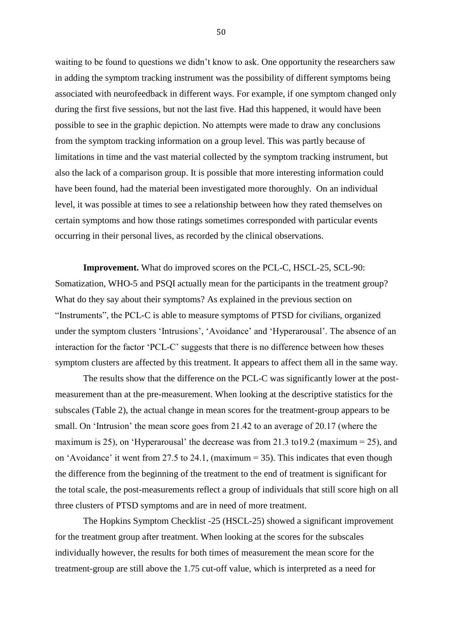waiting to be found to questions we didn't know to ask. One opportunity the researchers saw in adding the symptom tracking instrument was the possibility of different symptoms being associated with neurofeedback in different ways. For example, if one symptom changed only during the first five sessions, but not the last five. Had this happened, it would have been possible to see in the graphic depiction. No attempts were made to draw any conclusions from the symptom tracking information on a group level. This was partly because of limitations in time and the vast material collected by the symptom tracking instrument, but also the lack of a comparison group. It is possible that more interesting information could have been found, had the material been investigated more thoroughly. On an individual level, it was possible at times to see a relationship between how they rated themselves on certain symptoms and how those ratings sometimes corresponded with particular events occurring in their personal lives, as recorded by the clinical observations.

**Improvement.** What do improved scores on the PCL-C, HSCL-25, SCL-90: Somatization, WHO-5 and PSQI actually mean for the participants in the treatment group? What do they say about their symptoms? As explained in the previous section on "Instruments", the PCL-C is able to measure symptoms of PTSD for civilians, organized under the symptom clusters 'Intrusions', 'Avoidance' and 'Hyperarousal'. The absence of an interaction for the factor 'PCL-C' suggests that there is no difference between how theses symptom clusters are affected by this treatment. It appears to affect them all in the same way.

The results show that the difference on the PCL-C was significantly lower at the postmeasurement than at the pre-measurement. When looking at the descriptive statistics for the subscales (Table 2), the actual change in mean scores for the treatment-group appears to be small. On 'Intrusion' the mean score goes from 21.42 to an average of 20.17 (where the maximum is 25), on 'Hyperarousal' the decrease was from 21.3 to 19.2 (maximum  $= 25$ ), and on 'Avoidance' it went from 27.5 to 24.1, (maximum = 35). This indicates that even though the difference from the beginning of the treatment to the end of treatment is significant for the total scale, the post-measurements reflect a group of individuals that still score high on all three clusters of PTSD symptoms and are in need of more treatment.

The Hopkins Symptom Checklist -25 (HSCL-25) showed a significant improvement for the treatment group after treatment. When looking at the scores for the subscales individually however, the results for both times of measurement the mean score for the treatment-group are still above the 1.75 cut-off value, which is interpreted as a need for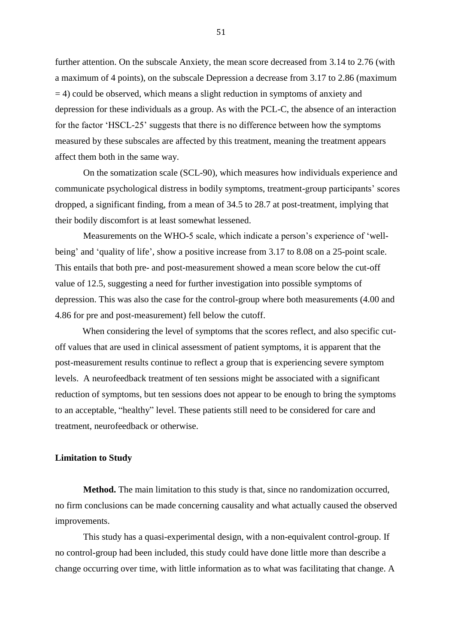further attention. On the subscale Anxiety, the mean score decreased from 3.14 to 2.76 (with a maximum of 4 points), on the subscale Depression a decrease from 3.17 to 2.86 (maximum = 4) could be observed, which means a slight reduction in symptoms of anxiety and depression for these individuals as a group. As with the PCL-C, the absence of an interaction for the factor 'HSCL-25' suggests that there is no difference between how the symptoms measured by these subscales are affected by this treatment, meaning the treatment appears affect them both in the same way.

On the somatization scale (SCL-90), which measures how individuals experience and communicate psychological distress in bodily symptoms, treatment-group participants' scores dropped, a significant finding, from a mean of 34.5 to 28.7 at post-treatment, implying that their bodily discomfort is at least somewhat lessened.

Measurements on the WHO-5 scale, which indicate a person's experience of 'wellbeing' and 'quality of life', show a positive increase from 3.17 to 8.08 on a 25-point scale. This entails that both pre- and post-measurement showed a mean score below the cut-off value of 12.5, suggesting a need for further investigation into possible symptoms of depression. This was also the case for the control-group where both measurements (4.00 and 4.86 for pre and post-measurement) fell below the cutoff.

When considering the level of symptoms that the scores reflect, and also specific cutoff values that are used in clinical assessment of patient symptoms, it is apparent that the post-measurement results continue to reflect a group that is experiencing severe symptom levels. A neurofeedback treatment of ten sessions might be associated with a significant reduction of symptoms, but ten sessions does not appear to be enough to bring the symptoms to an acceptable, "healthy" level. These patients still need to be considered for care and treatment, neurofeedback or otherwise.

#### **Limitation to Study**

**Method.** The main limitation to this study is that, since no randomization occurred, no firm conclusions can be made concerning causality and what actually caused the observed improvements.

This study has a quasi-experimental design, with a non-equivalent control-group. If no control-group had been included, this study could have done little more than describe a change occurring over time, with little information as to what was facilitating that change. A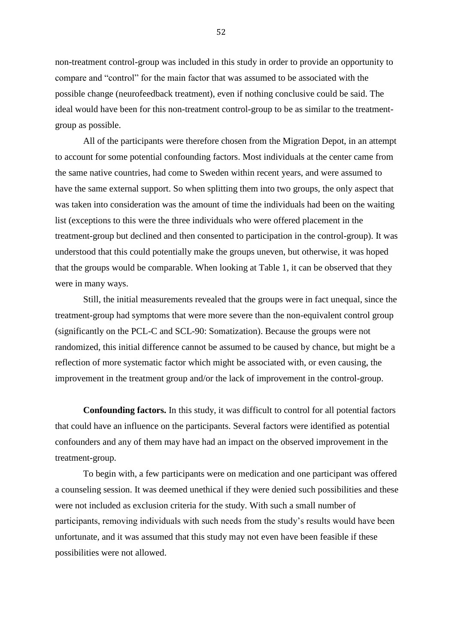non-treatment control-group was included in this study in order to provide an opportunity to compare and "control" for the main factor that was assumed to be associated with the possible change (neurofeedback treatment), even if nothing conclusive could be said. The ideal would have been for this non-treatment control-group to be as similar to the treatmentgroup as possible.

All of the participants were therefore chosen from the Migration Depot, in an attempt to account for some potential confounding factors. Most individuals at the center came from the same native countries, had come to Sweden within recent years, and were assumed to have the same external support. So when splitting them into two groups, the only aspect that was taken into consideration was the amount of time the individuals had been on the waiting list (exceptions to this were the three individuals who were offered placement in the treatment-group but declined and then consented to participation in the control-group). It was understood that this could potentially make the groups uneven, but otherwise, it was hoped that the groups would be comparable. When looking at Table 1, it can be observed that they were in many ways.

Still, the initial measurements revealed that the groups were in fact unequal, since the treatment-group had symptoms that were more severe than the non-equivalent control group (significantly on the PCL-C and SCL-90: Somatization). Because the groups were not randomized, this initial difference cannot be assumed to be caused by chance, but might be a reflection of more systematic factor which might be associated with, or even causing, the improvement in the treatment group and/or the lack of improvement in the control-group.

**Confounding factors.** In this study, it was difficult to control for all potential factors that could have an influence on the participants. Several factors were identified as potential confounders and any of them may have had an impact on the observed improvement in the treatment-group.

To begin with, a few participants were on medication and one participant was offered a counseling session. It was deemed unethical if they were denied such possibilities and these were not included as exclusion criteria for the study. With such a small number of participants, removing individuals with such needs from the study's results would have been unfortunate, and it was assumed that this study may not even have been feasible if these possibilities were not allowed.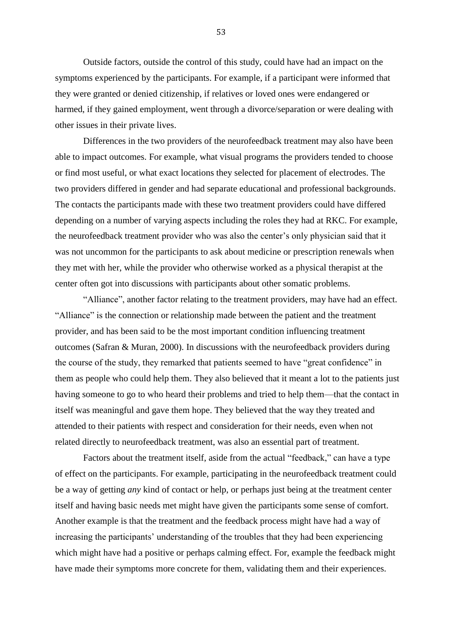Outside factors, outside the control of this study, could have had an impact on the symptoms experienced by the participants. For example, if a participant were informed that they were granted or denied citizenship, if relatives or loved ones were endangered or harmed, if they gained employment, went through a divorce/separation or were dealing with other issues in their private lives.

Differences in the two providers of the neurofeedback treatment may also have been able to impact outcomes. For example, what visual programs the providers tended to choose or find most useful, or what exact locations they selected for placement of electrodes. The two providers differed in gender and had separate educational and professional backgrounds. The contacts the participants made with these two treatment providers could have differed depending on a number of varying aspects including the roles they had at RKC. For example, the neurofeedback treatment provider who was also the center's only physician said that it was not uncommon for the participants to ask about medicine or prescription renewals when they met with her, while the provider who otherwise worked as a physical therapist at the center often got into discussions with participants about other somatic problems.

"Alliance", another factor relating to the treatment providers, may have had an effect. "Alliance" is the connection or relationship made between the patient and the treatment provider, and has been said to be the most important condition influencing treatment outcomes (Safran & Muran, 2000). In discussions with the neurofeedback providers during the course of the study, they remarked that patients seemed to have "great confidence" in them as people who could help them. They also believed that it meant a lot to the patients just having someone to go to who heard their problems and tried to help them—that the contact in itself was meaningful and gave them hope. They believed that the way they treated and attended to their patients with respect and consideration for their needs, even when not related directly to neurofeedback treatment, was also an essential part of treatment.

Factors about the treatment itself, aside from the actual "feedback," can have a type of effect on the participants. For example, participating in the neurofeedback treatment could be a way of getting *any* kind of contact or help, or perhaps just being at the treatment center itself and having basic needs met might have given the participants some sense of comfort. Another example is that the treatment and the feedback process might have had a way of increasing the participants' understanding of the troubles that they had been experiencing which might have had a positive or perhaps calming effect. For, example the feedback might have made their symptoms more concrete for them, validating them and their experiences.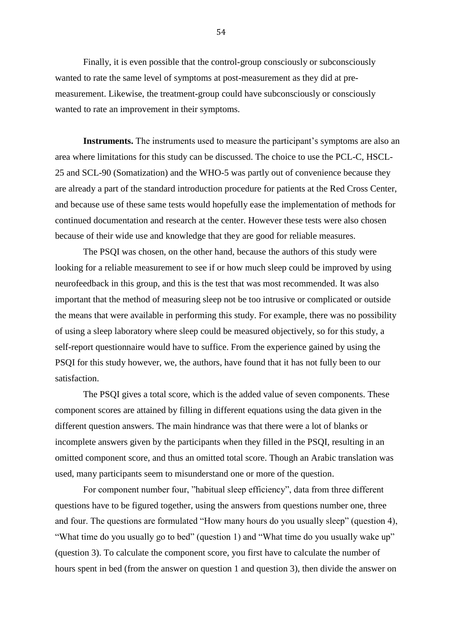Finally, it is even possible that the control-group consciously or subconsciously wanted to rate the same level of symptoms at post-measurement as they did at premeasurement. Likewise, the treatment-group could have subconsciously or consciously wanted to rate an improvement in their symptoms.

**Instruments.** The instruments used to measure the participant's symptoms are also an area where limitations for this study can be discussed. The choice to use the PCL-C, HSCL-25 and SCL-90 (Somatization) and the WHO-5 was partly out of convenience because they are already a part of the standard introduction procedure for patients at the Red Cross Center, and because use of these same tests would hopefully ease the implementation of methods for continued documentation and research at the center. However these tests were also chosen because of their wide use and knowledge that they are good for reliable measures.

The PSQI was chosen, on the other hand, because the authors of this study were looking for a reliable measurement to see if or how much sleep could be improved by using neurofeedback in this group, and this is the test that was most recommended. It was also important that the method of measuring sleep not be too intrusive or complicated or outside the means that were available in performing this study. For example, there was no possibility of using a sleep laboratory where sleep could be measured objectively, so for this study, a self-report questionnaire would have to suffice. From the experience gained by using the PSQI for this study however, we, the authors, have found that it has not fully been to our satisfaction.

The PSQI gives a total score, which is the added value of seven components. These component scores are attained by filling in different equations using the data given in the different question answers. The main hindrance was that there were a lot of blanks or incomplete answers given by the participants when they filled in the PSQI, resulting in an omitted component score, and thus an omitted total score. Though an Arabic translation was used, many participants seem to misunderstand one or more of the question.

For component number four, "habitual sleep efficiency", data from three different questions have to be figured together, using the answers from questions number one, three and four. The questions are formulated "How many hours do you usually sleep" (question 4), "What time do you usually go to bed" (question 1) and "What time do you usually wake up" (question 3). To calculate the component score, you first have to calculate the number of hours spent in bed (from the answer on question 1 and question 3), then divide the answer on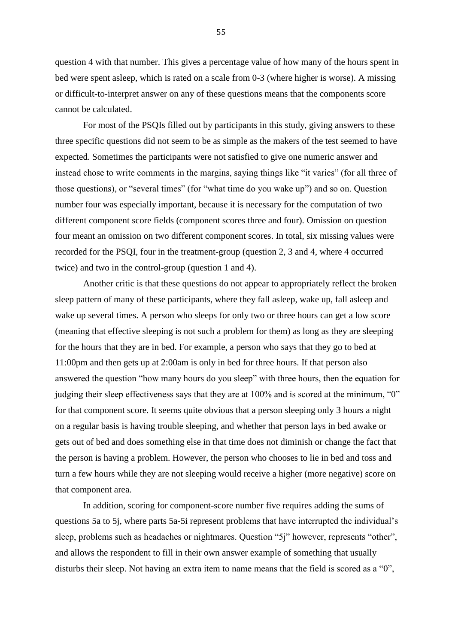question 4 with that number. This gives a percentage value of how many of the hours spent in bed were spent asleep, which is rated on a scale from 0-3 (where higher is worse). A missing or difficult-to-interpret answer on any of these questions means that the components score cannot be calculated.

For most of the PSQIs filled out by participants in this study, giving answers to these three specific questions did not seem to be as simple as the makers of the test seemed to have expected. Sometimes the participants were not satisfied to give one numeric answer and instead chose to write comments in the margins, saying things like "it varies" (for all three of those questions), or "several times" (for "what time do you wake up") and so on. Question number four was especially important, because it is necessary for the computation of two different component score fields (component scores three and four). Omission on question four meant an omission on two different component scores. In total, six missing values were recorded for the PSQI, four in the treatment-group (question 2, 3 and 4, where 4 occurred twice) and two in the control-group (question 1 and 4).

Another critic is that these questions do not appear to appropriately reflect the broken sleep pattern of many of these participants, where they fall asleep, wake up, fall asleep and wake up several times. A person who sleeps for only two or three hours can get a low score (meaning that effective sleeping is not such a problem for them) as long as they are sleeping for the hours that they are in bed. For example, a person who says that they go to bed at 11:00pm and then gets up at 2:00am is only in bed for three hours. If that person also answered the question "how many hours do you sleep" with three hours, then the equation for judging their sleep effectiveness says that they are at 100% and is scored at the minimum, "0" for that component score. It seems quite obvious that a person sleeping only 3 hours a night on a regular basis is having trouble sleeping, and whether that person lays in bed awake or gets out of bed and does something else in that time does not diminish or change the fact that the person is having a problem. However, the person who chooses to lie in bed and toss and turn a few hours while they are not sleeping would receive a higher (more negative) score on that component area.

In addition, scoring for component-score number five requires adding the sums of questions 5a to 5j, where parts 5a-5i represent problems that have interrupted the individual's sleep, problems such as headaches or nightmares. Question "5j" however, represents "other", and allows the respondent to fill in their own answer example of something that usually disturbs their sleep. Not having an extra item to name means that the field is scored as a "0",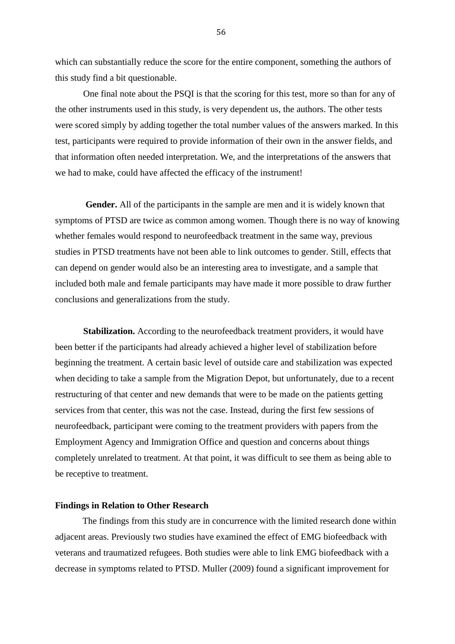which can substantially reduce the score for the entire component, something the authors of this study find a bit questionable.

One final note about the PSQI is that the scoring for this test, more so than for any of the other instruments used in this study, is very dependent us, the authors. The other tests were scored simply by adding together the total number values of the answers marked. In this test, participants were required to provide information of their own in the answer fields, and that information often needed interpretation. We, and the interpretations of the answers that we had to make, could have affected the efficacy of the instrument!

**Gender.** All of the participants in the sample are men and it is widely known that symptoms of PTSD are twice as common among women. Though there is no way of knowing whether females would respond to neurofeedback treatment in the same way, previous studies in PTSD treatments have not been able to link outcomes to gender. Still, effects that can depend on gender would also be an interesting area to investigate, and a sample that included both male and female participants may have made it more possible to draw further conclusions and generalizations from the study.

**Stabilization.** According to the neurofeedback treatment providers, it would have been better if the participants had already achieved a higher level of stabilization before beginning the treatment. A certain basic level of outside care and stabilization was expected when deciding to take a sample from the Migration Depot, but unfortunately, due to a recent restructuring of that center and new demands that were to be made on the patients getting services from that center, this was not the case. Instead, during the first few sessions of neurofeedback, participant were coming to the treatment providers with papers from the Employment Agency and Immigration Office and question and concerns about things completely unrelated to treatment. At that point, it was difficult to see them as being able to be receptive to treatment.

#### **Findings in Relation to Other Research**

The findings from this study are in concurrence with the limited research done within adjacent areas. Previously two studies have examined the effect of EMG biofeedback with veterans and traumatized refugees. Both studies were able to link EMG biofeedback with a decrease in symptoms related to PTSD. Muller (2009) found a significant improvement for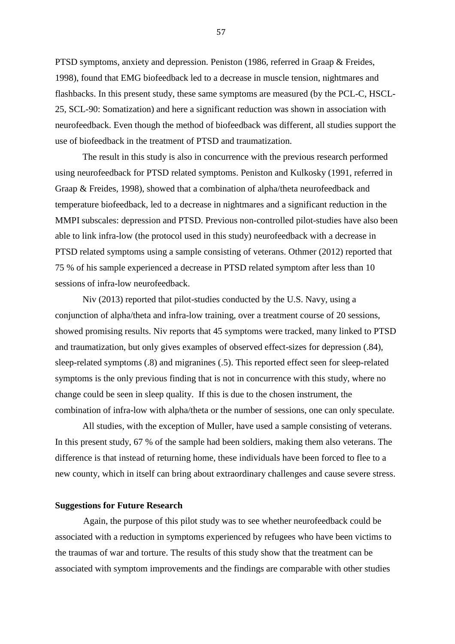PTSD symptoms, anxiety and depression. Peniston (1986, referred in Graap & Freides, 1998), found that EMG biofeedback led to a decrease in muscle tension, nightmares and flashbacks. In this present study, these same symptoms are measured (by the PCL-C, HSCL-25, SCL-90: Somatization) and here a significant reduction was shown in association with neurofeedback. Even though the method of biofeedback was different, all studies support the use of biofeedback in the treatment of PTSD and traumatization.

The result in this study is also in concurrence with the previous research performed using neurofeedback for PTSD related symptoms. Peniston and Kulkosky (1991, referred in Graap & Freides, 1998), showed that a combination of alpha/theta neurofeedback and temperature biofeedback, led to a decrease in nightmares and a significant reduction in the MMPI subscales: depression and PTSD. Previous non-controlled pilot-studies have also been able to link infra-low (the protocol used in this study) neurofeedback with a decrease in PTSD related symptoms using a sample consisting of veterans. Othmer (2012) reported that 75 % of his sample experienced a decrease in PTSD related symptom after less than 10 sessions of infra-low neurofeedback.

Niv (2013) reported that pilot-studies conducted by the U.S. Navy, using a conjunction of alpha/theta and infra-low training, over a treatment course of 20 sessions, showed promising results. Niv reports that 45 symptoms were tracked, many linked to PTSD and traumatization, but only gives examples of observed effect-sizes for depression (.84), sleep-related symptoms (.8) and migranines (.5). This reported effect seen for sleep-related symptoms is the only previous finding that is not in concurrence with this study, where no change could be seen in sleep quality. If this is due to the chosen instrument, the combination of infra-low with alpha/theta or the number of sessions, one can only speculate.

All studies, with the exception of Muller, have used a sample consisting of veterans. In this present study, 67 % of the sample had been soldiers, making them also veterans. The difference is that instead of returning home, these individuals have been forced to flee to a new county, which in itself can bring about extraordinary challenges and cause severe stress.

#### **Suggestions for Future Research**

Again, the purpose of this pilot study was to see whether neurofeedback could be associated with a reduction in symptoms experienced by refugees who have been victims to the traumas of war and torture. The results of this study show that the treatment can be associated with symptom improvements and the findings are comparable with other studies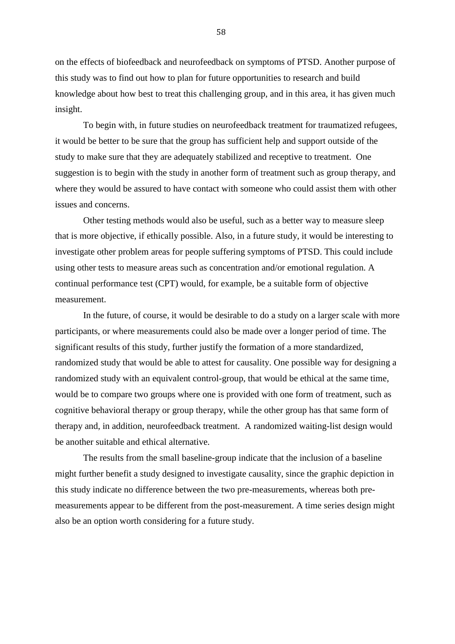on the effects of biofeedback and neurofeedback on symptoms of PTSD. Another purpose of this study was to find out how to plan for future opportunities to research and build knowledge about how best to treat this challenging group, and in this area, it has given much insight.

To begin with, in future studies on neurofeedback treatment for traumatized refugees, it would be better to be sure that the group has sufficient help and support outside of the study to make sure that they are adequately stabilized and receptive to treatment. One suggestion is to begin with the study in another form of treatment such as group therapy, and where they would be assured to have contact with someone who could assist them with other issues and concerns.

Other testing methods would also be useful, such as a better way to measure sleep that is more objective, if ethically possible. Also, in a future study, it would be interesting to investigate other problem areas for people suffering symptoms of PTSD. This could include using other tests to measure areas such as concentration and/or emotional regulation. A continual performance test (CPT) would, for example, be a suitable form of objective measurement.

In the future, of course, it would be desirable to do a study on a larger scale with more participants, or where measurements could also be made over a longer period of time. The significant results of this study, further justify the formation of a more standardized, randomized study that would be able to attest for causality. One possible way for designing a randomized study with an equivalent control-group, that would be ethical at the same time, would be to compare two groups where one is provided with one form of treatment, such as cognitive behavioral therapy or group therapy, while the other group has that same form of therapy and, in addition, neurofeedback treatment. A randomized waiting-list design would be another suitable and ethical alternative.

The results from the small baseline-group indicate that the inclusion of a baseline might further benefit a study designed to investigate causality, since the graphic depiction in this study indicate no difference between the two pre-measurements, whereas both premeasurements appear to be different from the post-measurement. A time series design might also be an option worth considering for a future study.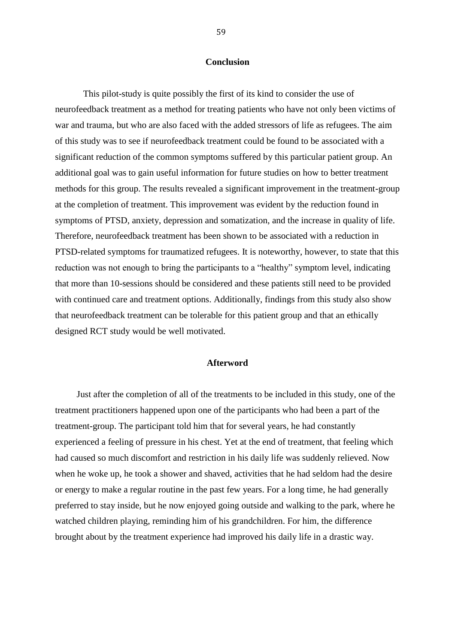#### **Conclusion**

This pilot-study is quite possibly the first of its kind to consider the use of neurofeedback treatment as a method for treating patients who have not only been victims of war and trauma, but who are also faced with the added stressors of life as refugees. The aim of this study was to see if neurofeedback treatment could be found to be associated with a significant reduction of the common symptoms suffered by this particular patient group. An additional goal was to gain useful information for future studies on how to better treatment methods for this group. The results revealed a significant improvement in the treatment-group at the completion of treatment. This improvement was evident by the reduction found in symptoms of PTSD, anxiety, depression and somatization, and the increase in quality of life. Therefore, neurofeedback treatment has been shown to be associated with a reduction in PTSD-related symptoms for traumatized refugees. It is noteworthy, however, to state that this reduction was not enough to bring the participants to a "healthy" symptom level, indicating that more than 10-sessions should be considered and these patients still need to be provided with continued care and treatment options. Additionally, findings from this study also show that neurofeedback treatment can be tolerable for this patient group and that an ethically designed RCT study would be well motivated.

#### **Afterword**

Just after the completion of all of the treatments to be included in this study, one of the treatment practitioners happened upon one of the participants who had been a part of the treatment-group. The participant told him that for several years, he had constantly experienced a feeling of pressure in his chest. Yet at the end of treatment, that feeling which had caused so much discomfort and restriction in his daily life was suddenly relieved. Now when he woke up, he took a shower and shaved, activities that he had seldom had the desire or energy to make a regular routine in the past few years. For a long time, he had generally preferred to stay inside, but he now enjoyed going outside and walking to the park, where he watched children playing, reminding him of his grandchildren. For him, the difference brought about by the treatment experience had improved his daily life in a drastic way.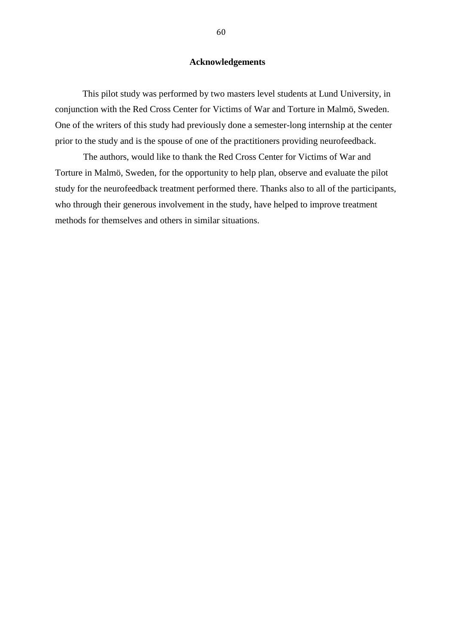#### **Acknowledgements**

This pilot study was performed by two masters level students at Lund University, in conjunction with the Red Cross Center for Victims of War and Torture in Malmö, Sweden. One of the writers of this study had previously done a semester-long internship at the center prior to the study and is the spouse of one of the practitioners providing neurofeedback.

The authors, would like to thank the Red Cross Center for Victims of War and Torture in Malmö, Sweden, for the opportunity to help plan, observe and evaluate the pilot study for the neurofeedback treatment performed there. Thanks also to all of the participants, who through their generous involvement in the study, have helped to improve treatment methods for themselves and others in similar situations.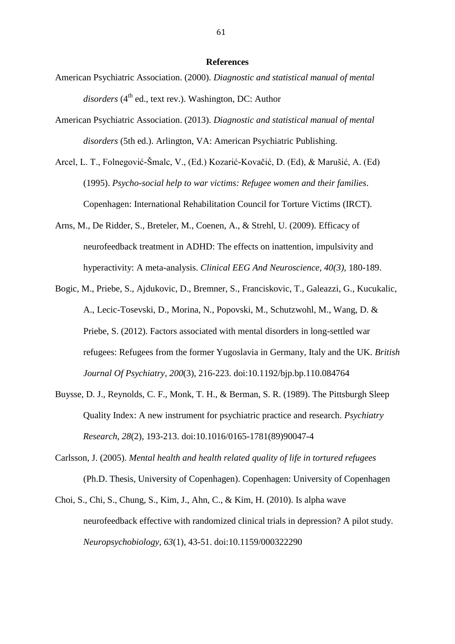#### **References**

- American Psychiatric Association. (2000). *Diagnostic and statistical manual of mental disorders* (4<sup>th</sup> ed., text rev.). Washington, DC: Author
- American Psychiatric Association. (2013). *Diagnostic and statistical manual of mental disorders* (5th ed.). Arlington, VA: American Psychiatric Publishing.
- Arcel, L. T., Folnegović-Šmalc, V., (Ed.) Kozarić-Kovačić, D. (Ed), & Marušić, A. (Ed) (1995). *Psycho-social help to war victims: Refugee women and their families*. Copenhagen: International Rehabilitation Council for Torture Victims (IRCT).
- Arns, M., De Ridder, S., Breteler, M., Coenen, A., & Strehl, U. (2009). Efficacy of neurofeedback treatment in ADHD: The effects on inattention, impulsivity and hyperactivity: A meta-analysis. *Clinical EEG And Neuroscience, 40(3),* 180-189.
- Bogic, M., Priebe, S., Ajdukovic, D., Bremner, S., Franciskovic, T., Galeazzi, G., Kucukalic, A., Lecic-Tosevski, D., Morina, N., Popovski, M., Schutzwohl, M., Wang, D. & Priebe, S. (2012). Factors associated with mental disorders in long-settled war refugees: Refugees from the former Yugoslavia in Germany, Italy and the UK. *British Journal Of Psychiatry*, *200*(3), 216-223. doi:10.1192/bjp.bp.110.084764
- Buysse, D. J., Reynolds, C. F., Monk, T. H., & Berman, S. R. (1989). The Pittsburgh Sleep Quality Index: A new instrument for psychiatric practice and research. *Psychiatry Research*, *28*(2), 193-213. doi:10.1016/0165-1781(89)90047-4
- Carlsson, J. (2005). *Mental health and health related quality of life in tortured refugees*  (Ph.D. Thesis, University of Copenhagen). Copenhagen: University of Copenhagen
- Choi, S., Chi, S., Chung, S., Kim, J., Ahn, C., & Kim, H. (2010). Is alpha wave neurofeedback effective with randomized clinical trials in depression? A pilot study. *Neuropsychobiology*, *63*(1), 43-51. doi:10.1159/000322290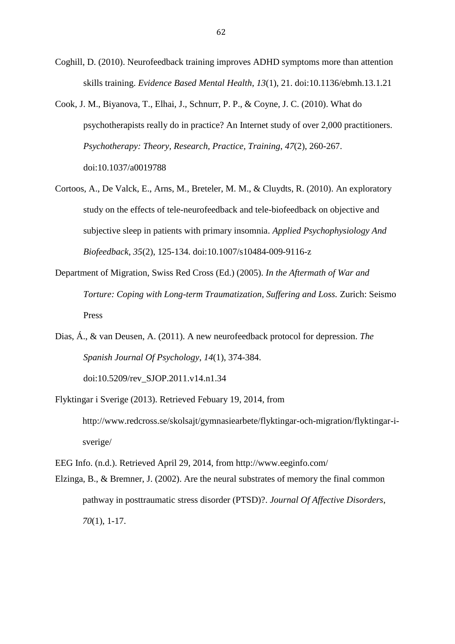- Coghill, D. (2010). Neurofeedback training improves ADHD symptoms more than attention skills training. *Evidence Based Mental Health*, *13*(1), 21. doi:10.1136/ebmh.13.1.21
- Cook, J. M., Biyanova, T., Elhai, J., Schnurr, P. P., & Coyne, J. C. (2010). What do psychotherapists really do in practice? An Internet study of over 2,000 practitioners. *Psychotherapy: Theory, Research, Practice, Training*, *47*(2), 260-267. doi:10.1037/a0019788
- Cortoos, A., De Valck, E., Arns, M., Breteler, M. M., & Cluydts, R. (2010). An exploratory study on the effects of tele-neurofeedback and tele-biofeedback on objective and subjective sleep in patients with primary insomnia. *Applied Psychophysiology And Biofeedback*, *35*(2), 125-134. doi:10.1007/s10484-009-9116-z
- Department of Migration, Swiss Red Cross (Ed.) (2005). *In the Aftermath of War and Torture: Coping with Long-term Traumatization, Suffering and Loss.* Zurich: Seismo Press
- Dias, Á., & van Deusen, A. (2011). A new neurofeedback protocol for depression. *The Spanish Journal Of Psychology*, *14*(1), 374-384. doi:10.5209/rev\_SJOP.2011.v14.n1.34
- Flyktingar i Sverige (2013). Retrieved Febuary 19, 2014, from http://www.redcross.se/skolsajt/gymnasiearbete/flyktingar-och-migration/flyktingar-isverige/
- EEG Info. (n.d.). Retrieved April 29, 2014, from http://www.eeginfo.com/
- Elzinga, B., & Bremner, J. (2002). Are the neural substrates of memory the final common pathway in posttraumatic stress disorder (PTSD)?. *Journal Of Affective Disorders*, *70*(1), 1-17.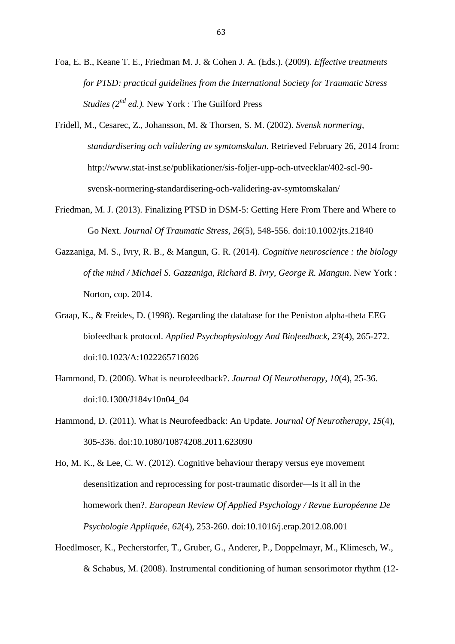- Foa, E. B., Keane T. E., Friedman M. J. & Cohen J. A. (Eds.). (2009). *Effective treatments for PTSD: practical guidelines from the International Society for Traumatic Stress Studies (2<sup>nd</sup> ed.).* New York : The Guilford Press
- Fridell, M., Cesarec, Z., Johansson, M. & Thorsen, S. M. (2002). *Svensk normering, standardisering och validering av symtomskalan*. Retrieved February 26, 2014 from: http://www.stat-inst.se/publikationer/sis-foljer-upp-och-utvecklar/402-scl-90 svensk-normering-standardisering-och-validering-av-symtomskalan/
- Friedman, M. J. (2013). Finalizing PTSD in DSM-5: Getting Here From There and Where to Go Next. *Journal Of Traumatic Stress*, *26*(5), 548-556. doi:10.1002/jts.21840
- Gazzaniga, M. S., Ivry, R. B., & Mangun, G. R. (2014). *Cognitive neuroscience : the biology of the mind / Michael S. Gazzaniga, Richard B. Ivry, George R. Mangun*. New York : Norton, cop. 2014.
- Graap, K., & Freides, D. (1998). Regarding the database for the Peniston alpha-theta EEG biofeedback protocol. *Applied Psychophysiology And Biofeedback*, *23*(4), 265-272. doi:10.1023/A:1022265716026
- Hammond, D. (2006). What is neurofeedback?. *Journal Of Neurotherapy*, *10*(4), 25-36. doi:10.1300/J184v10n04\_04
- Hammond, D. (2011). What is Neurofeedback: An Update. *Journal Of Neurotherapy*, *15*(4), 305-336. doi:10.1080/10874208.2011.623090

Ho, M. K., & Lee, C. W. (2012). Cognitive behaviour therapy versus eye movement desensitization and reprocessing for post-traumatic disorder—Is it all in the homework then?. *European Review Of Applied Psychology / Revue Européenne De Psychologie Appliquée*, *62*(4), 253-260. doi:10.1016/j.erap.2012.08.001

Hoedlmoser, K., Pecherstorfer, T., Gruber, G., Anderer, P., Doppelmayr, M., Klimesch, W., & Schabus, M. (2008). Instrumental conditioning of human sensorimotor rhythm (12-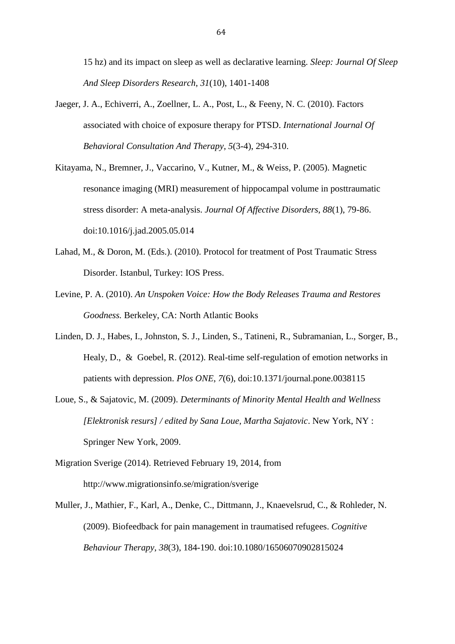15 hz) and its impact on sleep as well as declarative learning. *Sleep: Journal Of Sleep And Sleep Disorders Research*, *31*(10), 1401-1408

- Jaeger, J. A., Echiverri, A., Zoellner, L. A., Post, L., & Feeny, N. C. (2010). Factors associated with choice of exposure therapy for PTSD. *International Journal Of Behavioral Consultation And Therapy*, *5*(3-4), 294-310.
- Kitayama, N., Bremner, J., Vaccarino, V., Kutner, M., & Weiss, P. (2005). Magnetic resonance imaging (MRI) measurement of hippocampal volume in posttraumatic stress disorder: A meta-analysis. *Journal Of Affective Disorders*, *88*(1), 79-86. doi:10.1016/j.jad.2005.05.014
- Lahad, M., & Doron, M. (Eds.). (2010). Protocol for treatment of Post Traumatic Stress Disorder. Istanbul, Turkey: IOS Press.
- Levine, P. A. (2010). *An Unspoken Voice: How the Body Releases Trauma and Restores Goodness.* Berkeley, CA: North Atlantic Books
- Linden, D. J., Habes, I., Johnston, S. J., Linden, S., Tatineni, R., Subramanian, L., Sorger, B., Healy, D., & Goebel, R. (2012). Real-time self-regulation of emotion networks in patients with depression. *Plos ONE*, *7*(6), doi:10.1371/journal.pone.0038115
- Loue, S., & Sajatovic, M. (2009). *Determinants of Minority Mental Health and Wellness [Elektronisk resurs] / edited by Sana Loue, Martha Sajatovic*. New York, NY : Springer New York, 2009.
- Migration Sverige (2014). Retrieved February 19, 2014, from http://www.migrationsinfo.se/migration/sverige
- Muller, J., Mathier, F., Karl, A., Denke, C., Dittmann, J., Knaevelsrud, C., & Rohleder, N. (2009). Biofeedback for pain management in traumatised refugees. *Cognitive Behaviour Therapy*, *38*(3), 184-190. doi:10.1080/16506070902815024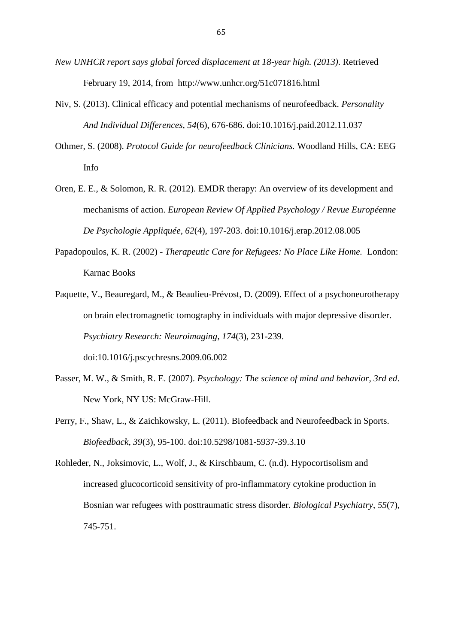- *New UNHCR report says global forced displacement at 18-year high. (2013)*. Retrieved February 19, 2014, from <http://www.unhcr.org/51c071816.html>
- Niv, S. (2013). Clinical efficacy and potential mechanisms of neurofeedback. *Personality And Individual Differences*, *54*(6), 676-686. doi:10.1016/j.paid.2012.11.037
- Othmer, S. (2008). *Protocol Guide for neurofeedback Clinicians.* Woodland Hills, CA: EEG Info
- Oren, E. E., & Solomon, R. R. (2012). EMDR therapy: An overview of its development and mechanisms of action. *European Review Of Applied Psychology / Revue Européenne De Psychologie Appliquée*, *62*(4), 197-203. doi:10.1016/j.erap.2012.08.005
- Papadopoulos, K. R. (2002) *Therapeutic Care for Refugees: No Place Like Home.* London: Karnac Books
- Paquette, V., Beauregard, M., & Beaulieu-Prévost, D. (2009). Effect of a psychoneurotherapy on brain electromagnetic tomography in individuals with major depressive disorder. *Psychiatry Research: Neuroimaging*, *174*(3), 231-239. doi:10.1016/j.pscychresns.2009.06.002
- Passer, M. W., & Smith, R. E. (2007). *Psychology: The science of mind and behavior, 3rd ed*. New York, NY US: McGraw-Hill.
- Perry, F., Shaw, L., & Zaichkowsky, L. (2011). Biofeedback and Neurofeedback in Sports. *Biofeedback*, *39*(3), 95-100. doi:10.5298/1081-5937-39.3.10
- Rohleder, N., Joksimovic, L., Wolf, J., & Kirschbaum, C. (n.d). Hypocortisolism and increased glucocorticoid sensitivity of pro-inflammatory cytokine production in Bosnian war refugees with posttraumatic stress disorder. *Biological Psychiatry*, *55*(7), 745-751.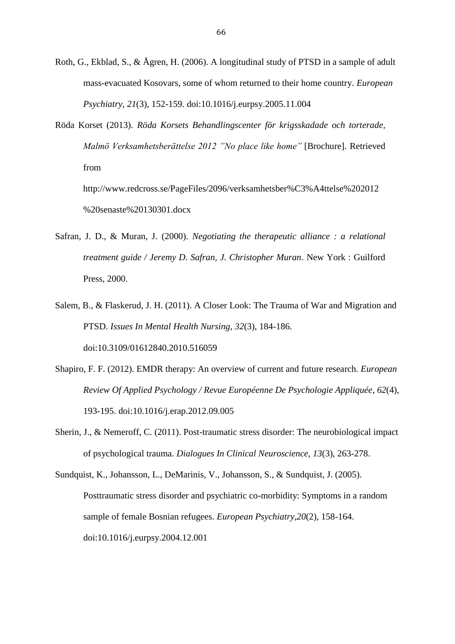- Roth, G., Ekblad, S., & Ågren, H. (2006). A longitudinal study of PTSD in a sample of adult mass-evacuated Kosovars, some of whom returned to their home country. *European Psychiatry*, *21*(3), 152-159. doi:10.1016/j.eurpsy.2005.11.004
- Röda Korset (2013). *Röda Korsets Behandlingscenter för krigsskadade och torterade, Malmö Verksamhetsberättelse 2012 "No place like home"* [Brochure]. Retrieved from

http://www.redcross.se/PageFiles/2096/verksamhetsber%C3%A4ttelse%202012 %20senaste%20130301.docx

- Safran, J. D., & Muran, J. (2000). *Negotiating the therapeutic alliance : a relational treatment guide / Jeremy D. Safran, J. Christopher Muran*. New York : Guilford Press, 2000.
- Salem, B., & Flaskerud, J. H. (2011). A Closer Look: The Trauma of War and Migration and PTSD. *Issues In Mental Health Nursing*, *32*(3), 184-186. doi:10.3109/01612840.2010.516059
- Shapiro, F. F. (2012). EMDR therapy: An overview of current and future research. *European Review Of Applied Psychology / Revue Européenne De Psychologie Appliquée*, *62*(4), 193-195. doi:10.1016/j.erap.2012.09.005
- Sherin, J., & Nemeroff, C. (2011). Post-traumatic stress disorder: The neurobiological impact of psychological trauma. *Dialogues In Clinical Neuroscience*, *13*(3), 263-278.

Sundquist, K., Johansson, L., DeMarinis, V., Johansson, S., & Sundquist, J. (2005). Posttraumatic stress disorder and psychiatric co-morbidity: Symptoms in a random sample of female Bosnian refugees. *European Psychiatry*,*20*(2), 158-164. doi:10.1016/j.eurpsy.2004.12.001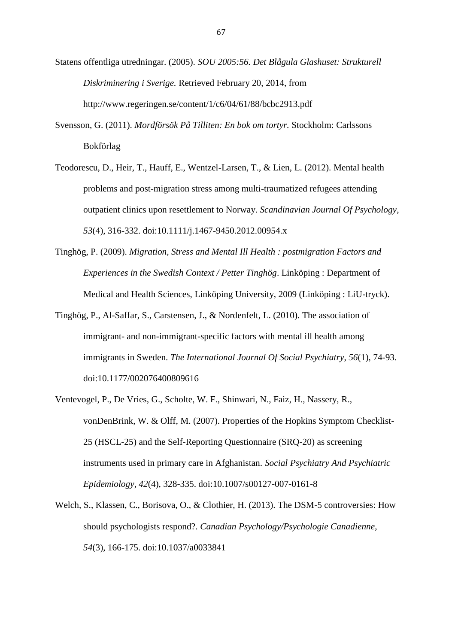- Statens offentliga utredningar. (2005). *SOU 2005:56. Det Blågula Glashuset: Strukturell Diskriminering i Sverige.* Retrieved February 20, 2014, from <http://www.regeringen.se/content/1/c6/04/61/88/bcbc2913.pdf>
- Svensson, G. (2011). *Mordförsök På Tilliten: En bok om tortyr.* Stockholm: Carlssons Bokförlag
- Teodorescu, D., Heir, T., Hauff, E., Wentzel-Larsen, T., & Lien, L. (2012). Mental health problems and post-migration stress among multi-traumatized refugees attending outpatient clinics upon resettlement to Norway. *Scandinavian Journal Of Psychology*, *53*(4), 316-332. doi:10.1111/j.1467-9450.2012.00954.x
- Tinghög, P. (2009). *Migration, Stress and Mental Ill Health : postmigration Factors and Experiences in the Swedish Context / Petter Tinghög*. Linköping : Department of Medical and Health Sciences, Linköping University, 2009 (Linköping : LiU-tryck).
- Tinghög, P., Al-Saffar, S., Carstensen, J., & Nordenfelt, L. (2010). The association of immigrant- and non-immigrant-specific factors with mental ill health among immigrants in Sweden. *The International Journal Of Social Psychiatry*, *56*(1), 74-93. doi:10.1177/002076400809616
- Ventevogel, P., De Vries, G., Scholte, W. F., Shinwari, N., Faiz, H., Nassery, R., vonDenBrink, W. & Olff, M. (2007). Properties of the Hopkins Symptom Checklist-25 (HSCL-25) and the Self-Reporting Questionnaire (SRQ-20) as screening instruments used in primary care in Afghanistan. *Social Psychiatry And Psychiatric Epidemiology*, *42*(4), 328-335. doi:10.1007/s00127-007-0161-8
- Welch, S., Klassen, C., Borisova, O., & Clothier, H. (2013). The DSM-5 controversies: How should psychologists respond?. *Canadian Psychology/Psychologie Canadienne*, *54*(3), 166-175. doi:10.1037/a0033841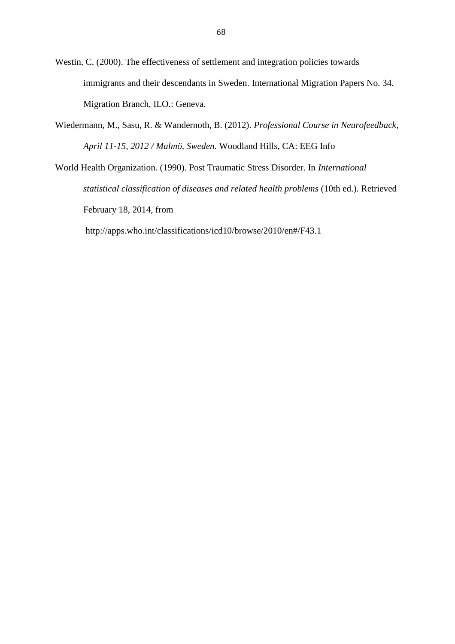Westin, C. (2000). The effectiveness of settlement and integration policies towards immigrants and their descendants in Sweden. International Migration Papers No. 34. Migration Branch, ILO.: Geneva.

Wiedermann, M., Sasu, R. & Wandernoth, B. (2012). *Professional Course in Neurofeedback, April 11-15, 2012 / Malmö, Sweden.* Woodland Hills, CA: EEG Info

World Health Organization. (1990). Post Traumatic Stress Disorder. In *International statistical classification of diseases and related health problems* (10th ed.). Retrieved February 18, 2014, fro[m](http://apps.who.int/classifications/icd10/browse/2010/en#/F32)

<http://apps.who.int/classifications/icd10/browse/2010/en#/F43.1>